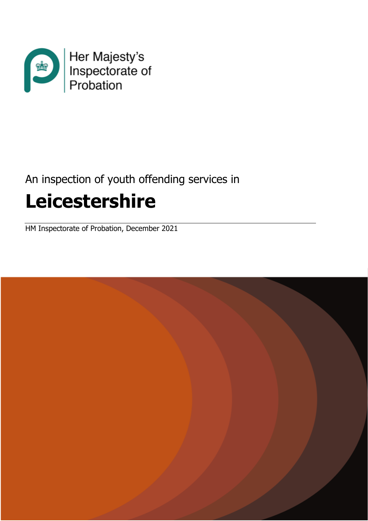

# An inspection of youth offending services in **Leicestershire**

HM Inspectorate of Probation, December 2021

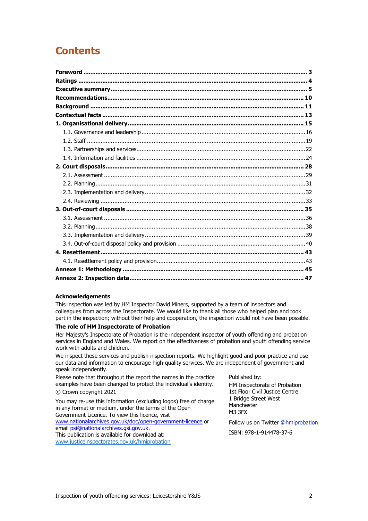## **Contents**

#### **Acknowledgements**

This inspection was led by HM Inspector David Miners, supported by a team of inspectors and colleagues from across the Inspectorate. We would like to thank all those who helped plan and took part in the inspection; without their help and cooperation, the inspection would not have been possible.

#### **The role of HM Inspectorate of Probation**

Her Majesty's Inspectorate of Probation is the independent inspector of youth offending and probation services in England and Wales. We report on the effectiveness of probation and youth offending service work with adults and children.

We inspect these services and publish inspection reports. We highlight good and poor practice and use our data and information to encourage high-quality services. We are independent of government and speak independently.

Please note that throughout the report the names in the practice examples have been changed to protect the individual's identity.

#### © Crown copyright 2021

You may re-use this information (excluding logos) free of charge in any format or medium, under the terms of the Open Government Licence. To view this licence, visit [www.nationalarchives.gov.uk/doc/open-government-licence](http://www.nationalarchives.gov.uk/doc/open-government-licence) or

email [psi@nationalarchives.gsi.gov.uk.](mailto:psi@nationalarchives.gsi.gov.uk)

This publication is available for download at: [www.justiceinspectorates.gov.uk/hmiprobation](http://www.justiceinspectorates.gov.uk/hmiprobation) Published by:

HM Inspectorate of Probation 1st Floor Civil Justice Centre 1 Bridge Street West Manchester M3 3FX

Follow us on Twitter [@hmiprobation](https://twitter.com/HMIProbation)

ISBN: 978-1-914478-37-6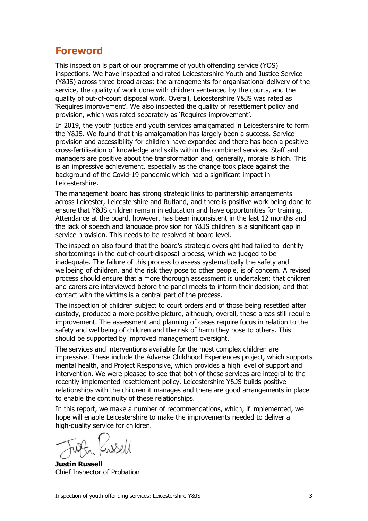## <span id="page-2-0"></span>**Foreword**

This inspection is part of our programme of youth offending service (YOS) inspections. We have inspected and rated Leicestershire Youth and Justice Service (Y&JS) across three broad areas: the arrangements for organisational delivery of the service, the quality of work done with children sentenced by the courts, and the quality of out-of-court disposal work. Overall, Leicestershire Y&JS was rated as 'Requires improvement'. We also inspected the quality of resettlement policy and provision, which was rated separately as 'Requires improvement'.

In 2019, the youth justice and youth services amalgamated in Leicestershire to form the Y&JS. We found that this amalgamation has largely been a success. Service provision and accessibility for children have expanded and there has been a positive cross-fertilisation of knowledge and skills within the combined services. Staff and managers are positive about the transformation and, generally, morale is high. This is an impressive achievement, especially as the change took place against the background of the Covid-19 pandemic which had a significant impact in Leicestershire.

The management board has strong strategic links to partnership arrangements across Leicester, Leicestershire and Rutland, and there is positive work being done to ensure that Y&JS children remain in education and have opportunities for training. Attendance at the board, however, has been inconsistent in the last 12 months and the lack of speech and language provision for Y&JS children is a significant gap in service provision. This needs to be resolved at board level.

The inspection also found that the board's strategic oversight had failed to identify shortcomings in the out-of-court-disposal process, which we judged to be inadequate. The failure of this process to assess systematically the safety and wellbeing of children, and the risk they pose to other people, is of concern. A revised process should ensure that a more thorough assessment is undertaken; that children and carers are interviewed before the panel meets to inform their decision; and that contact with the victims is a central part of the process.

The inspection of children subject to court orders and of those being resettled after custody, produced a more positive picture, although, overall, these areas still require improvement. The assessment and planning of cases require focus in relation to the safety and wellbeing of children and the risk of harm they pose to others. This should be supported by improved management oversight.

The services and interventions available for the most complex children are impressive. These include the Adverse Childhood Experiences project, which supports mental health, and Project Responsive, which provides a high level of support and intervention. We were pleased to see that both of these services are integral to the recently implemented resettlement policy. Leicestershire Y&JS builds positive relationships with the children it manages and there are good arrangements in place to enable the continuity of these relationships.

In this report, we make a number of recommendations, which, if implemented, we hope will enable Leicestershire to make the improvements needed to deliver a high-quality service for children.

**Justin Russell** Chief Inspector of Probation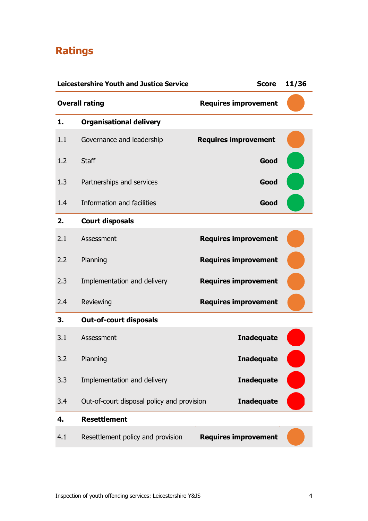## <span id="page-3-0"></span>**Ratings**

|     | <b>Leicestershire Youth and Justice Service</b> | <b>Score</b>                | 11/36 |
|-----|-------------------------------------------------|-----------------------------|-------|
|     | <b>Overall rating</b>                           | <b>Requires improvement</b> |       |
| 1.  | <b>Organisational delivery</b>                  |                             |       |
| 1.1 | Governance and leadership                       | <b>Requires improvement</b> |       |
| 1.2 | <b>Staff</b>                                    | Good                        |       |
| 1.3 | Partnerships and services                       | Good                        |       |
| 1.4 | Information and facilities                      | Good                        |       |
| 2.  | <b>Court disposals</b>                          |                             |       |
| 2.1 | Assessment                                      | <b>Requires improvement</b> |       |
| 2.2 | Planning                                        | <b>Requires improvement</b> |       |
| 2.3 | Implementation and delivery                     | <b>Requires improvement</b> |       |
| 2.4 | Reviewing                                       | <b>Requires improvement</b> |       |
| 3.  | <b>Out-of-court disposals</b>                   |                             |       |
| 3.1 | Assessment                                      | <b>Inadequate</b>           |       |
| 3.2 | Planning                                        | <b>Inadequate</b>           |       |
| 3.3 | Implementation and delivery                     | <b>Inadequate</b>           |       |
| 3.4 | Out-of-court disposal policy and provision      | <b>Inadequate</b>           |       |
| 4.  | <b>Resettlement</b>                             |                             |       |
| 4.1 | Resettlement policy and provision               | <b>Requires improvement</b> |       |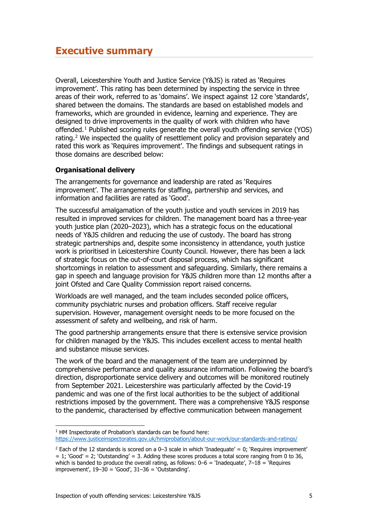<span id="page-4-0"></span>Overall, Leicestershire Youth and Justice Service (Y&JS) is rated as 'Requires improvement'. This rating has been determined by inspecting the service in three areas of their work, referred to as 'domains'. We inspect against 12 core 'standards', shared between the domains. The standards are based on established models and frameworks, which are grounded in evidence, learning and experience. They are designed to drive improvements in the quality of work with children who have offended.[1](#page-4-1) Published scoring rules generate the overall youth offending service (YOS) rating.<sup>[2](#page-4-2)</sup> We inspected the quality of resettlement policy and provision separately and rated this work as 'Requires improvement'. The findings and subsequent ratings in those domains are described below:

## **Organisational delivery**

The arrangements for governance and leadership are rated as 'Requires improvement'. The arrangements for staffing, partnership and services, and information and facilities are rated as 'Good'.

The successful amalgamation of the youth justice and youth services in 2019 has resulted in improved services for children. The management board has a three-year youth justice plan (2020–2023), which has a strategic focus on the educational needs of Y&JS children and reducing the use of custody. The board has strong strategic partnerships and, despite some inconsistency in attendance, youth justice work is prioritised in Leicestershire County Council. However, there has been a lack of strategic focus on the out-of-court disposal process, which has significant shortcomings in relation to assessment and safeguarding. Similarly, there remains a gap in speech and language provision for Y&JS children more than 12 months after a joint Ofsted and Care Quality Commission report raised concerns.

Workloads are well managed, and the team includes seconded police officers, community psychiatric nurses and probation officers. Staff receive regular supervision. However, management oversight needs to be more focused on the assessment of safety and wellbeing, and risk of harm.

The good partnership arrangements ensure that there is extensive service provision for children managed by the Y&JS. This includes excellent access to mental health and substance misuse services.

The work of the board and the management of the team are underpinned by comprehensive performance and quality assurance information. Following the board's direction, disproportionate service delivery and outcomes will be monitored routinely from September 2021. Leicestershire was particularly affected by the Covid-19 pandemic and was one of the first local authorities to be the subject of additional restrictions imposed by the government. There was a comprehensive Y&JS response to the pandemic, characterised by effective communication between management

<span id="page-4-1"></span> $1$  HM Inspectorate of Probation's standards can be found here: <https://www.justiceinspectorates.gov.uk/hmiprobation/about-our-work/our-standards-and-ratings/>

<span id="page-4-2"></span><sup>&</sup>lt;sup>2</sup> Each of the 12 standards is scored on a 0–3 scale in which 'Inadequate' = 0; 'Requires improvement'  $= 1$ ; 'Good' = 2; 'Outstanding' = 3. Adding these scores produces a total score ranging from 0 to 36, which is banded to produce the overall rating, as follows:  $0-6 =$  'Inadequate',  $7-18 =$  'Requires improvement',  $19-30 = 'Good'$ ,  $31-36 = 'Outstanding'.$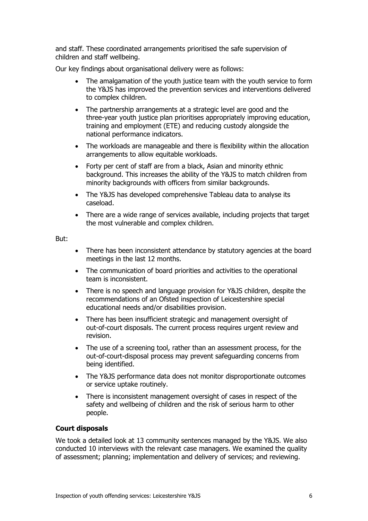and staff. These coordinated arrangements prioritised the safe supervision of children and staff wellbeing.

Our key findings about organisational delivery were as follows:

- The amalgamation of the youth justice team with the youth service to form the Y&JS has improved the prevention services and interventions delivered to complex children.
- The partnership arrangements at a strategic level are good and the three-year youth justice plan prioritises appropriately improving education, training and employment (ETE) and reducing custody alongside the national performance indicators.
- The workloads are manageable and there is flexibility within the allocation arrangements to allow equitable workloads.
- Forty per cent of staff are from a black, Asian and minority ethnic background. This increases the ability of the Y&JS to match children from minority backgrounds with officers from similar backgrounds.
- The Y&JS has developed comprehensive Tableau data to analyse its caseload.
- There are a wide range of services available, including projects that target the most vulnerable and complex children.

#### But:

- There has been inconsistent attendance by statutory agencies at the board meetings in the last 12 months.
- The communication of board priorities and activities to the operational team is inconsistent.
- There is no speech and language provision for Y&JS children, despite the recommendations of an Ofsted inspection of Leicestershire special educational needs and/or disabilities provision.
- There has been insufficient strategic and management oversight of out-of-court disposals. The current process requires urgent review and revision.
- The use of a screening tool, rather than an assessment process, for the out-of-court-disposal process may prevent safeguarding concerns from being identified.
- The Y&JS performance data does not monitor disproportionate outcomes or service uptake routinely.
- There is inconsistent management oversight of cases in respect of the safety and wellbeing of children and the risk of serious harm to other people.

## **Court disposals**

We took a detailed look at 13 community sentences managed by the Y&JS. We also conducted 10 interviews with the relevant case managers. We examined the quality of assessment; planning; implementation and delivery of services; and reviewing.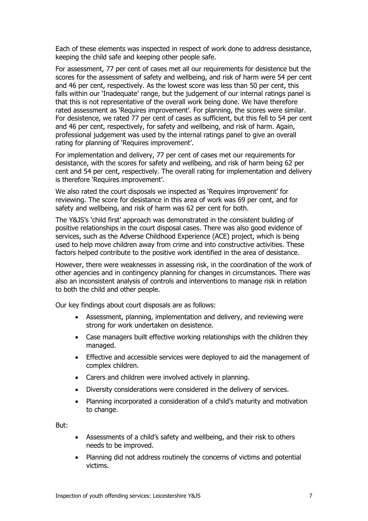Each of these elements was inspected in respect of work done to address desistance, keeping the child safe and keeping other people safe.

For assessment, 77 per cent of cases met all our requirements for desistence but the scores for the assessment of safety and wellbeing, and risk of harm were 54 per cent and 46 per cent, respectively. As the lowest score was less than 50 per cent, this falls within our 'Inadequate' range, but the judgement of our internal ratings panel is that this is not representative of the overall work being done. We have therefore rated assessment as 'Requires improvement'. For planning, the scores were similar. For desistence, we rated 77 per cent of cases as sufficient, but this fell to 54 per cent and 46 per cent, respectively, for safety and wellbeing, and risk of harm. Again, professional judgement was used by the internal ratings panel to give an overall rating for planning of 'Requires improvement'.

For implementation and delivery, 77 per cent of cases met our requirements for desistance, with the scores for safety and wellbeing, and risk of harm being 62 per cent and 54 per cent, respectively. The overall rating for implementation and delivery is therefore 'Requires improvement'.

We also rated the court disposals we inspected as 'Requires improvement' for reviewing. The score for desistance in this area of work was 69 per cent, and for safety and wellbeing, and risk of harm was 62 per cent for both.

The Y&JS's 'child first' approach was demonstrated in the consistent building of positive relationships in the court disposal cases. There was also good evidence of services, such as the Adverse Childhood Experience (ACE) project, which is being used to help move children away from crime and into constructive activities. These factors helped contribute to the positive work identified in the area of desistance.

However, there were weaknesses in assessing risk, in the coordination of the work of other agencies and in contingency planning for changes in circumstances. There was also an inconsistent analysis of controls and interventions to manage risk in relation to both the child and other people.

Our key findings about court disposals are as follows:

- Assessment, planning, implementation and delivery, and reviewing were strong for work undertaken on desistence.
- Case managers built effective working relationships with the children they managed.
- Effective and accessible services were deployed to aid the management of complex children.
- Carers and children were involved actively in planning.
- Diversity considerations were considered in the delivery of services.
- Planning incorporated a consideration of a child's maturity and motivation to change.

But:

- Assessments of a child's safety and wellbeing, and their risk to others needs to be improved.
- Planning did not address routinely the concerns of victims and potential victims.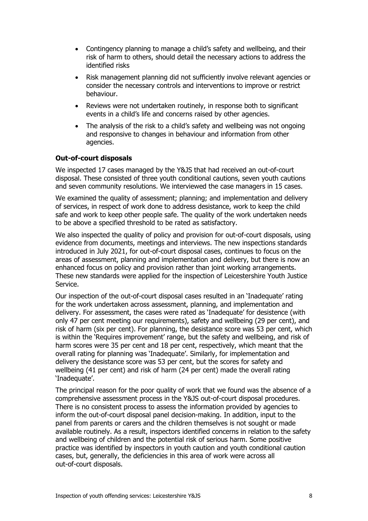- Contingency planning to manage a child's safety and wellbeing, and their risk of harm to others, should detail the necessary actions to address the identified risks
- Risk management planning did not sufficiently involve relevant agencies or consider the necessary controls and interventions to improve or restrict behaviour.
- Reviews were not undertaken routinely, in response both to significant events in a child's life and concerns raised by other agencies.
- The analysis of the risk to a child's safety and wellbeing was not ongoing and responsive to changes in behaviour and information from other agencies.

## **Out-of-court disposals**

We inspected 17 cases managed by the Y&JS that had received an out-of-court disposal. These consisted of three youth conditional cautions, seven youth cautions and seven community resolutions. We interviewed the case managers in 15 cases.

We examined the quality of assessment; planning; and implementation and delivery of services, in respect of work done to address desistance, work to keep the child safe and work to keep other people safe. The quality of the work undertaken needs to be above a specified threshold to be rated as satisfactory.

We also inspected the quality of policy and provision for out-of-court disposals, using evidence from documents, meetings and interviews. The new inspections standards introduced in July 2021, for out-of-court disposal cases, continues to focus on the areas of assessment, planning and implementation and delivery, but there is now an enhanced focus on policy and provision rather than joint working arrangements. These new standards were applied for the inspection of Leicestershire Youth Justice Service.

Our inspection of the out-of-court disposal cases resulted in an 'Inadequate' rating for the work undertaken across assessment, planning, and implementation and delivery. For assessment, the cases were rated as 'Inadequate' for desistence (with only 47 per cent meeting our requirements), safety and wellbeing (29 per cent), and risk of harm (six per cent). For planning, the desistance score was 53 per cent, which is within the 'Requires improvement' range, but the safety and wellbeing, and risk of harm scores were 35 per cent and 18 per cent, respectively, which meant that the overall rating for planning was 'Inadequate'. Similarly, for implementation and delivery the desistance score was 53 per cent, but the scores for safety and wellbeing (41 per cent) and risk of harm (24 per cent) made the overall rating 'Inadequate'.

The principal reason for the poor quality of work that we found was the absence of a comprehensive assessment process in the Y&JS out-of-court disposal procedures. There is no consistent process to assess the information provided by agencies to inform the out-of-court disposal panel decision-making. In addition, input to the panel from parents or carers and the children themselves is not sought or made available routinely. As a result, inspectors identified concerns in relation to the safety and wellbeing of children and the potential risk of serious harm. Some positive practice was identified by inspectors in youth caution and youth conditional caution cases, but, generally, the deficiencies in this area of work were across all out-of-court disposals.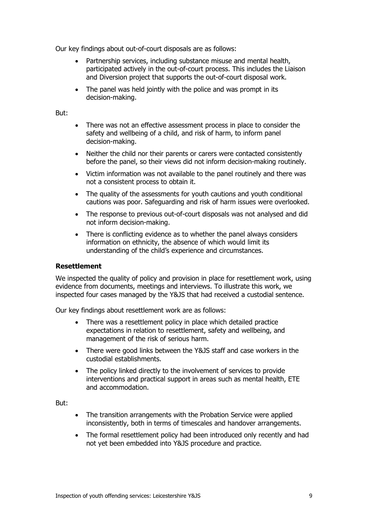Our key findings about out-of-court disposals are as follows:

- Partnership services, including substance misuse and mental health, participated actively in the out-of-court process. This includes the Liaison and Diversion project that supports the out-of-court disposal work.
- The panel was held jointly with the police and was prompt in its decision-making.

But:

- There was not an effective assessment process in place to consider the safety and wellbeing of a child, and risk of harm, to inform panel decision-making.
- Neither the child nor their parents or carers were contacted consistently before the panel, so their views did not inform decision-making routinely.
- Victim information was not available to the panel routinely and there was not a consistent process to obtain it.
- The quality of the assessments for youth cautions and youth conditional cautions was poor. Safeguarding and risk of harm issues were overlooked.
- The response to previous out-of-court disposals was not analysed and did not inform decision-making.
- There is conflicting evidence as to whether the panel always considers information on ethnicity, the absence of which would limit its understanding of the child's experience and circumstances.

## **Resettlement**

We inspected the quality of policy and provision in place for resettlement work, using evidence from documents, meetings and interviews. To illustrate this work, we inspected four cases managed by the Y&JS that had received a custodial sentence.

Our key findings about resettlement work are as follows:

- There was a resettlement policy in place which detailed practice expectations in relation to resettlement, safety and wellbeing, and management of the risk of serious harm.
- There were good links between the Y&JS staff and case workers in the custodial establishments.
- The policy linked directly to the involvement of services to provide interventions and practical support in areas such as mental health, ETE and accommodation.

But:

- The transition arrangements with the Probation Service were applied inconsistently, both in terms of timescales and handover arrangements.
- <span id="page-8-0"></span>• The formal resettlement policy had been introduced only recently and had not yet been embedded into Y&JS procedure and practice.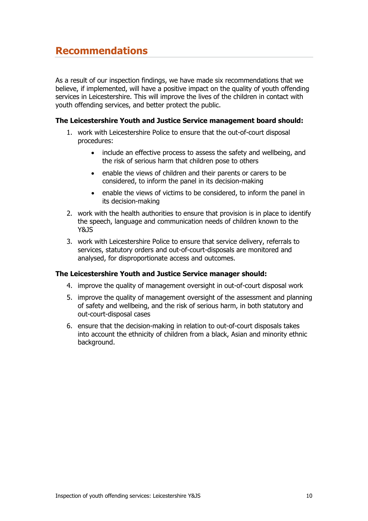## **Recommendations**

As a result of our inspection findings, we have made six recommendations that we believe, if implemented, will have a positive impact on the quality of youth offending services in Leicestershire. This will improve the lives of the children in contact with youth offending services, and better protect the public.

## **The Leicestershire Youth and Justice Service management board should:**

- 1. work with Leicestershire Police to ensure that the out-of-court disposal procedures:
	- include an effective process to assess the safety and wellbeing, and the risk of serious harm that children pose to others
	- enable the views of children and their parents or carers to be considered, to inform the panel in its decision-making
	- enable the views of victims to be considered, to inform the panel in its decision-making
- 2. work with the health authorities to ensure that provision is in place to identify the speech, language and communication needs of children known to the Y&JS
- 3. work with Leicestershire Police to ensure that service delivery, referrals to services, statutory orders and out-of-court-disposals are monitored and analysed, for disproportionate access and outcomes.

## **The Leicestershire Youth and Justice Service manager should:**

- 4. improve the quality of management oversight in out-of-court disposal work
- 5. improve the quality of management oversight of the assessment and planning of safety and wellbeing, and the risk of serious harm, in both statutory and out-court-disposal cases
- 6. ensure that the decision-making in relation to out-of-court disposals takes into account the ethnicity of children from a black, Asian and minority ethnic background.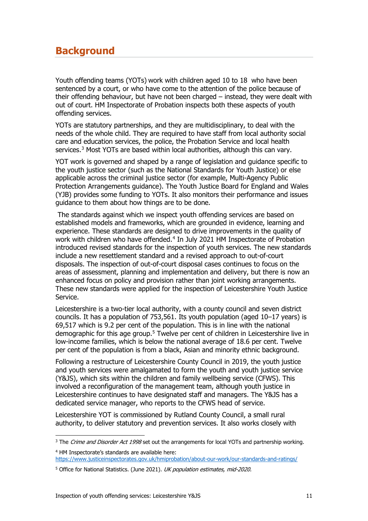## <span id="page-10-0"></span>**Background**

Youth offending teams (YOTs) work with children aged 10 to 18 who have been sentenced by a court, or who have come to the attention of the police because of their offending behaviour, but have not been charged – instead, they were dealt with out of court. HM Inspectorate of Probation inspects both these aspects of youth offending services.

YOTs are statutory partnerships, and they are multidisciplinary, to deal with the needs of the whole child. They are required to have staff from local authority social care and education services, the police, the Probation Service and local health services. $3$  Most YOTs are based within local authorities, although this can vary.

YOT work is governed and shaped by a range of legislation and guidance specific to the youth justice sector (such as the National Standards for Youth Justice) or else applicable across the criminal justice sector (for example, Multi-Agency Public Protection Arrangements guidance). The Youth Justice Board for England and Wales (YJB) provides some funding to YOTs. It also monitors their performance and issues guidance to them about how things are to be done.

The standards against which we inspect youth offending services are based on established models and frameworks, which are grounded in evidence, learning and experience. These standards are designed to drive improvements in the quality of work with children who have offended.<sup>[4](#page-10-2)</sup> In July 2021 HM Inspectorate of Probation introduced revised standards for the inspection of youth services. The new standards include a new resettlement standard and a revised approach to out-of-court disposals. The inspection of out-of-court disposal cases continues to focus on the areas of assessment, planning and implementation and delivery, but there is now an enhanced focus on policy and provision rather than joint working arrangements. These new standards were applied for the inspection of Leicestershire Youth Justice Service.

Leicestershire is a two-tier local authority, with a county council and seven district councils. It has a population of 753,561. Its youth population (aged 10–17 years) is 69,517 which is 9.2 per cent of the population. This is in line with the national demographic for this age group.<sup>[5](#page-10-3)</sup> Twelve per cent of children in Leicestershire live in low-income families, which is below the national average of 18.6 per cent. Twelve per cent of the population is from a black, Asian and minority ethnic background.

Following a restructure of Leicestershire County Council in 2019, the youth justice and youth services were amalgamated to form the youth and youth justice service (Y&JS), which sits within the children and family wellbeing service (CFWS). This involved a reconfiguration of the management team, although youth justice in Leicestershire continues to have designated staff and managers. The Y&JS has a dedicated service manager, who reports to the CFWS head of service.

Leicestershire YOT is commissioned by Rutland County Council, a small rural authority, to deliver statutory and prevention services. It also works closely with

<span id="page-10-1"></span><sup>&</sup>lt;sup>3</sup> The *Crime and Disorder Act 1998* set out the arrangements for local YOTs and partnership working.

<span id="page-10-2"></span><sup>4</sup> HM Inspectorate's standards are available here: <https://www.justiceinspectorates.gov.uk/hmiprobation/about-our-work/our-standards-and-ratings/>

<span id="page-10-3"></span><sup>&</sup>lt;sup>5</sup> Office for National Statistics. (June 2021). UK population estimates, mid-2020.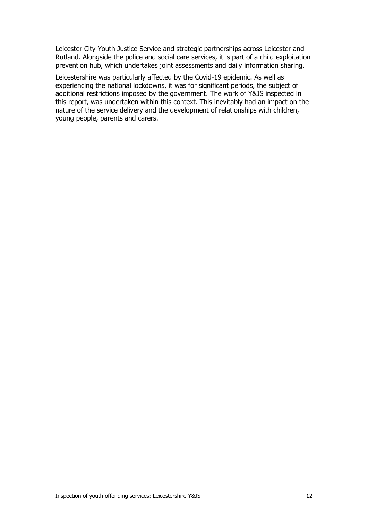Leicester City Youth Justice Service and strategic partnerships across Leicester and Rutland. Alongside the police and social care services, it is part of a child exploitation prevention hub, which undertakes joint assessments and daily information sharing.

Leicestershire was particularly affected by the Covid-19 epidemic. As well as experiencing the national lockdowns, it was for significant periods, the subject of additional restrictions imposed by the government. The work of Y&JS inspected in this report, was undertaken within this context. This inevitably had an impact on the nature of the service delivery and the development of relationships with children, young people, parents and carers.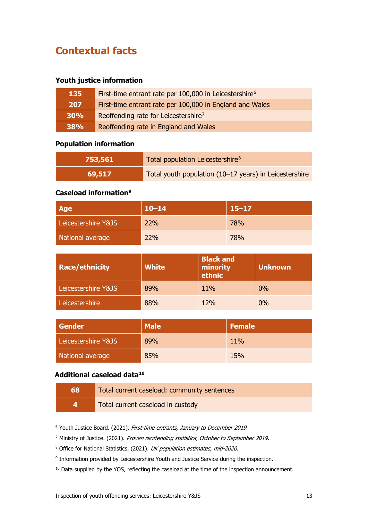## <span id="page-12-0"></span>**Contextual facts**

## **Youth justice information**

| 135        | First-time entrant rate per 100,000 in Leicestershire <sup>6</sup> |
|------------|--------------------------------------------------------------------|
| 207        | First-time entrant rate per 100,000 in England and Wales           |
| 30%        | Reoffending rate for Leicestershire <sup>7</sup>                   |
| <b>38%</b> | Reoffending rate in England and Wales                              |

## **Population information**

| 753,561 | Total population Leicestershire <sup>8</sup>           |  |
|---------|--------------------------------------------------------|--|
| 69,517  | Total youth population (10-17 years) in Leicestershire |  |

## **Caseload information[9](#page-12-4)**

| <b>Age</b>          | $10 - 14$  | $15 - 17$  |
|---------------------|------------|------------|
| Leicestershire Y&JS | <b>22%</b> | 78%        |
| National average    | 22%        | <b>78%</b> |

| <b>Race/ethnicity</b> | <b>White</b> | <b>Black and</b><br>minority<br>ethnic | <b>Unknown</b> |
|-----------------------|--------------|----------------------------------------|----------------|
| Leicestershire Y&JS   | 89%          | 11%                                    | 0%             |
| Leicestershire        | 88%          | 12%                                    | $0\%$          |

| <b>Gender</b>       | <b>Male</b> | <b>Female</b> |
|---------------------|-------------|---------------|
| Leicestershire Y&JS | 89%         | 11%           |
| National average    | 85%         | 15%           |

## **Additional caseload data[10](#page-12-5)**

| 68           | Total current caseload: community sentences |
|--------------|---------------------------------------------|
| $\mathbf{A}$ | Total current caseload in custody           |

<span id="page-12-1"></span><sup>&</sup>lt;sup>6</sup> Youth Justice Board. (2021). First-time entrants, January to December 2019.

<span id="page-12-2"></span><sup>&</sup>lt;sup>7</sup> Ministry of Justice. (2021). Proven reoffending statistics, October to September 2019.

<span id="page-12-3"></span><sup>&</sup>lt;sup>8</sup> Office for National Statistics. (2021). UK population estimates, mid-2020.

<span id="page-12-4"></span><sup>&</sup>lt;sup>9</sup> Information provided by Leicestershire Youth and Justice Service during the inspection.

<span id="page-12-5"></span><sup>&</sup>lt;sup>10</sup> Data supplied by the YOS, reflecting the caseload at the time of the inspection announcement.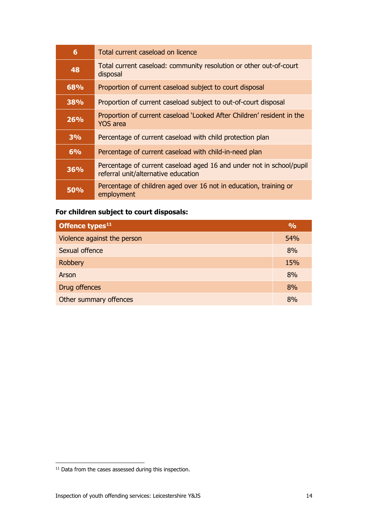| 6          | Total current caseload on licence                                                                           |
|------------|-------------------------------------------------------------------------------------------------------------|
| 48         | Total current caseload: community resolution or other out-of-court<br>disposal                              |
| 68%        | Proportion of current caseload subject to court disposal                                                    |
| 38%        | Proportion of current caseload subject to out-of-court disposal                                             |
| 26%        | Proportion of current caseload 'Looked After Children' resident in the<br>YOS area                          |
| 3%         | Percentage of current caseload with child protection plan                                                   |
| 6%         | Percentage of current caseload with child-in-need plan                                                      |
| 36%        | Percentage of current caseload aged 16 and under not in school/pupil<br>referral unit/alternative education |
| <b>50%</b> | Percentage of children aged over 16 not in education, training or<br>employment                             |

## **For children subject to court disposals:**

| Offence types <sup>11</sup> | $\frac{0}{0}$ |
|-----------------------------|---------------|
| Violence against the person | 54%           |
| Sexual offence              | 8%            |
| <b>Robbery</b>              | 15%           |
| Arson                       | 8%            |
| Drug offences               | 8%            |
| Other summary offences      | 8%            |

<span id="page-13-0"></span><sup>&</sup>lt;sup>11</sup> Data from the cases assessed during this inspection.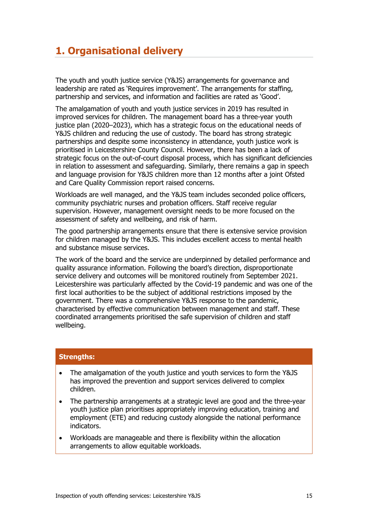## <span id="page-14-0"></span>**1. Organisational delivery**

The youth and youth justice service (Y&JS) arrangements for governance and leadership are rated as 'Requires improvement'. The arrangements for staffing, partnership and services, and information and facilities are rated as 'Good'.

The amalgamation of youth and youth justice services in 2019 has resulted in improved services for children. The management board has a three-year youth justice plan (2020–2023), which has a strategic focus on the educational needs of Y&JS children and reducing the use of custody. The board has strong strategic partnerships and despite some inconsistency in attendance, youth justice work is prioritised in Leicestershire County Council. However, there has been a lack of strategic focus on the out-of-court disposal process, which has significant deficiencies in relation to assessment and safeguarding. Similarly, there remains a gap in speech and language provision for Y&JS children more than 12 months after a joint Ofsted and Care Quality Commission report raised concerns.

Workloads are well managed, and the Y&JS team includes seconded police officers, community psychiatric nurses and probation officers. Staff receive regular supervision. However, management oversight needs to be more focused on the assessment of safety and wellbeing, and risk of harm.

The good partnership arrangements ensure that there is extensive service provision for children managed by the Y&JS. This includes excellent access to mental health and substance misuse services.

The work of the board and the service are underpinned by detailed performance and quality assurance information. Following the board's direction, disproportionate service delivery and outcomes will be monitored routinely from September 2021. Leicestershire was particularly affected by the Covid-19 pandemic and was one of the first local authorities to be the subject of additional restrictions imposed by the government. There was a comprehensive Y&JS response to the pandemic, characterised by effective communication between management and staff. These coordinated arrangements prioritised the safe supervision of children and staff wellbeing.

## **Strengths:**

- The amalgamation of the youth justice and youth services to form the Y&JS has improved the prevention and support services delivered to complex children.
- The partnership arrangements at a strategic level are good and the three-year youth justice plan prioritises appropriately improving education, training and employment (ETE) and reducing custody alongside the national performance indicators.
- Workloads are manageable and there is flexibility within the allocation arrangements to allow equitable workloads.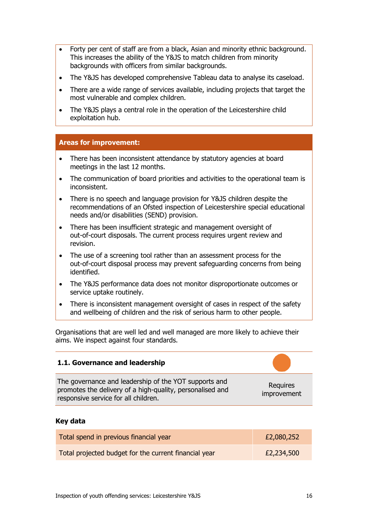- Forty per cent of staff are from a black, Asian and minority ethnic background. This increases the ability of the Y&JS to match children from minority backgrounds with officers from similar backgrounds.
- The Y&JS has developed comprehensive Tableau data to analyse its caseload.
- There are a wide range of services available, including projects that target the most vulnerable and complex children.
- The Y&JS plays a central role in the operation of the Leicestershire child exploitation hub.

## **Areas for improvement:**

- There has been inconsistent attendance by statutory agencies at board meetings in the last 12 months.
- The communication of board priorities and activities to the operational team is inconsistent.
- There is no speech and language provision for Y&JS children despite the recommendations of an Ofsted inspection of Leicestershire special educational needs and/or disabilities (SEND) provision.
- There has been insufficient strategic and management oversight of out-of-court disposals. The current process requires urgent review and revision.
- The use of a screening tool rather than an assessment process for the out-of-court disposal process may prevent safeguarding concerns from being identified.
- The Y&JS performance data does not monitor disproportionate outcomes or service uptake routinely.
- There is inconsistent management oversight of cases in respect of the safety and wellbeing of children and the risk of serious harm to other people.

Organisations that are well led and well managed are more likely to achieve their aims. We inspect against four standards.

## <span id="page-15-0"></span>**1.1. Governance and leadership** The governance and leadership of the YOT supports and promotes the delivery of a high-quality, personalised and responsive service for all children. Requires improvement

## **Key data**

| Total spend in previous financial year                | £2,080,252 |
|-------------------------------------------------------|------------|
| Total projected budget for the current financial year | £2,234,500 |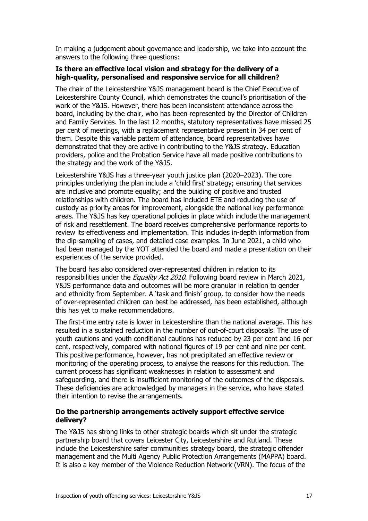In making a judgement about governance and leadership, we take into account the answers to the following three questions:

## **Is there an effective local vision and strategy for the delivery of a high-quality, personalised and responsive service for all children?**

The chair of the Leicestershire Y&JS management board is the Chief Executive of Leicestershire County Council, which demonstrates the council's prioritisation of the work of the Y&JS. However, there has been inconsistent attendance across the board, including by the chair, who has been represented by the Director of Children and Family Services. In the last 12 months, statutory representatives have missed 25 per cent of meetings, with a replacement representative present in 34 per cent of them. Despite this variable pattern of attendance, board representatives have demonstrated that they are active in contributing to the Y&JS strategy. Education providers, police and the Probation Service have all made positive contributions to the strategy and the work of the Y&JS.

Leicestershire Y&JS has a three-year youth justice plan (2020–2023). The core principles underlying the plan include a 'child first' strategy; ensuring that services are inclusive and promote equality; and the building of positive and trusted relationships with children. The board has included ETE and reducing the use of custody as priority areas for improvement, alongside the national key performance areas. The Y&JS has key operational policies in place which include the management of risk and resettlement. The board receives comprehensive performance reports to review its effectiveness and implementation. This includes in-depth information from the dip-sampling of cases, and detailed case examples. In June 2021, a child who had been managed by the YOT attended the board and made a presentation on their experiences of the service provided.

The board has also considered over-represented children in relation to its responsibilities under the *Equality Act 2010*. Following board review in March 2021, Y&JS performance data and outcomes will be more granular in relation to gender and ethnicity from September. A 'task and finish' group, to consider how the needs of over-represented children can best be addressed, has been established, although this has yet to make recommendations.

The first-time entry rate is lower in Leicestershire than the national average. This has resulted in a sustained reduction in the number of out-of-court disposals. The use of youth cautions and youth conditional cautions has reduced by 23 per cent and 16 per cent, respectively, compared with national figures of 19 per cent and nine per cent. This positive performance, however, has not precipitated an effective review or monitoring of the operating process, to analyse the reasons for this reduction. The current process has significant weaknesses in relation to assessment and safeguarding, and there is insufficient monitoring of the outcomes of the disposals. These deficiencies are acknowledged by managers in the service, who have stated their intention to revise the arrangements.

## **Do the partnership arrangements actively support effective service delivery?**

The Y&JS has strong links to other strategic boards which sit under the strategic partnership board that covers Leicester City, Leicestershire and Rutland. These include the Leicestershire safer communities strategy board, the strategic offender management and the Multi Agency Public Protection Arrangements (MAPPA) board. It is also a key member of the Violence Reduction Network (VRN). The focus of the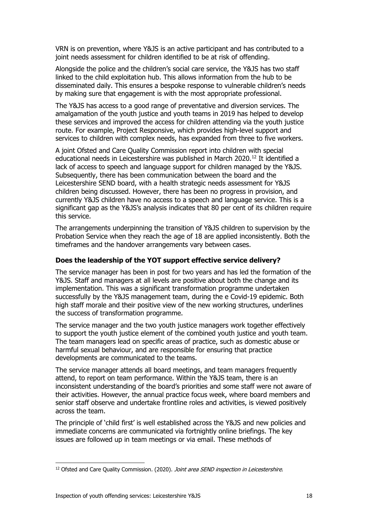VRN is on prevention, where Y&JS is an active participant and has contributed to a joint needs assessment for children identified to be at risk of offending.

Alongside the police and the children's social care service, the Y&JS has two staff linked to the child exploitation hub. This allows information from the hub to be disseminated daily. This ensures a bespoke response to vulnerable children's needs by making sure that engagement is with the most appropriate professional.

The Y&JS has access to a good range of preventative and diversion services. The amalgamation of the youth justice and youth teams in 2019 has helped to develop these services and improved the access for children attending via the youth justice route. For example, Project Responsive, which provides high-level support and services to children with complex needs, has expanded from three to five workers.

A joint Ofsted and Care Quality Commission report into children with special educational needs in Leicestershire was published in March 2020[.12](#page-17-0) It identified a lack of access to speech and language support for children managed by the Y&JS. Subsequently, there has been communication between the board and the Leicestershire SEND board, with a health strategic needs assessment for Y&JS children being discussed. However, there has been no progress in provision, and currently Y&JS children have no access to a speech and language service. This is a significant gap as the Y&JS's analysis indicates that 80 per cent of its children require this service.

The arrangements underpinning the transition of Y&JS children to supervision by the Probation Service when they reach the age of 18 are applied inconsistently. Both the timeframes and the handover arrangements vary between cases.

### **Does the leadership of the YOT support effective service delivery?**

The service manager has been in post for two years and has led the formation of the Y&JS. Staff and managers at all levels are positive about both the change and its implementation. This was a significant transformation programme undertaken successfully by the Y&JS management team, during the e Covid-19 epidemic. Both high staff morale and their positive view of the new working structures, underlines the success of transformation programme.

The service manager and the two youth justice managers work together effectively to support the youth justice element of the combined youth justice and youth team. The team managers lead on specific areas of practice, such as domestic abuse or harmful sexual behaviour, and are responsible for ensuring that practice developments are communicated to the teams.

The service manager attends all board meetings, and team managers frequently attend, to report on team performance. Within the Y&JS team, there is an inconsistent understanding of the board's priorities and some staff were not aware of their activities. However, the annual practice focus week, where board members and senior staff observe and undertake frontline roles and activities, is viewed positively across the team.

The principle of 'child first' is well established across the Y&JS and new policies and immediate concerns are communicated via fortnightly online briefings. The key issues are followed up in team meetings or via email. These methods of

<span id="page-17-0"></span><sup>&</sup>lt;sup>12</sup> Ofsted and Care Quality Commission. (2020). Joint area SEND inspection in Leicestershire.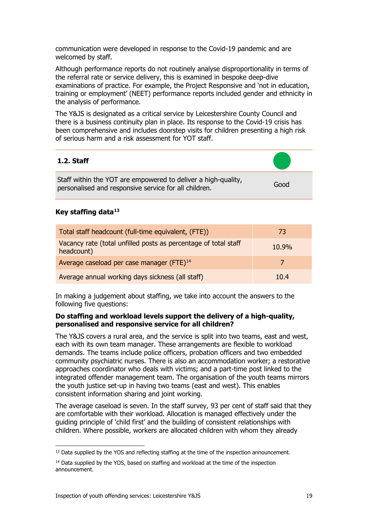communication were developed in response to the Covid-19 pandemic and are welcomed by staff.

Although performance reports do not routinely analyse disproportionality in terms of the referral rate or service delivery, this is examined in bespoke deep-dive examinations of practice. For example, the Project Responsive and 'not in education, training or employment' (NEET) performance reports included gender and ethnicity in the analysis of performance.

The Y&JS is designated as a critical service by Leicestershire County Council and there is a business continuity plan in place. Its response to the Covid-19 crisis has been comprehensive and includes doorstep visits for children presenting a high risk of serious harm and a risk assessment for YOT staff.

## <span id="page-18-0"></span>**1.2. Staff**

Staff within the YOT are empowered to deliver a high-quality, personalised and responsive service for all children. Good

## **Key staffing data[13](#page-18-1)**

| Total staff headcount (full-time equivalent, (FTE))                           | 73    |
|-------------------------------------------------------------------------------|-------|
| Vacancy rate (total unfilled posts as percentage of total staff<br>headcount) | 10.9% |
| Average caseload per case manager (FTE) <sup>14</sup>                         |       |
| Average annual working days sickness (all staff)                              | 10.4  |

In making a judgement about staffing, we take into account the answers to the following five questions:

## **Do staffing and workload levels support the delivery of a high-quality, personalised and responsive service for all children?**

The Y&JS covers a rural area, and the service is split into two teams, east and west, each with its own team manager. These arrangements are flexible to workload demands. The teams include police officers, probation officers and two embedded community psychiatric nurses. There is also an accommodation worker; a restorative approaches coordinator who deals with victims; and a part-time post linked to the integrated offender management team. The organisation of the youth teams mirrors the youth justice set-up in having two teams (east and west). This enables consistent information sharing and joint working.

The average caseload is seven. In the staff survey, 93 per cent of staff said that they are comfortable with their workload. Allocation is managed effectively under the guiding principle of 'child first' and the building of consistent relationships with children. Where possible, workers are allocated children with whom they already

<span id="page-18-1"></span><sup>&</sup>lt;sup>13</sup> Data supplied by the YOS and reflecting staffing at the time of the inspection announcement.

<span id="page-18-2"></span><sup>&</sup>lt;sup>14</sup> Data supplied by the YOS, based on staffing and workload at the time of the inspection announcement.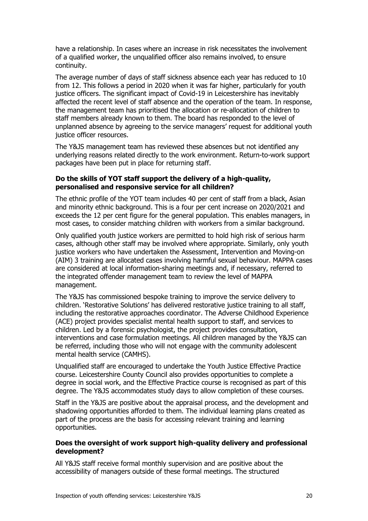have a relationship. In cases where an increase in risk necessitates the involvement of a qualified worker, the unqualified officer also remains involved, to ensure continuity.

The average number of days of staff sickness absence each year has reduced to 10 from 12. This follows a period in 2020 when it was far higher, particularly for youth justice officers. The significant impact of Covid-19 in Leicestershire has inevitably affected the recent level of staff absence and the operation of the team. In response, the management team has prioritised the allocation or re-allocation of children to staff members already known to them. The board has responded to the level of unplanned absence by agreeing to the service managers' request for additional youth justice officer resources.

The Y&JS management team has reviewed these absences but not identified any underlying reasons related directly to the work environment. Return-to-work support packages have been put in place for returning staff.

### **Do the skills of YOT staff support the delivery of a high-quality, personalised and responsive service for all children?**

The ethnic profile of the YOT team includes 40 per cent of staff from a black, Asian and minority ethnic background. This is a four per cent increase on 2020/2021 and exceeds the 12 per cent figure for the general population. This enables managers, in most cases, to consider matching children with workers from a similar background.

Only qualified youth justice workers are permitted to hold high risk of serious harm cases, although other staff may be involved where appropriate. Similarly, only youth justice workers who have undertaken the Assessment, Intervention and Moving-on (AIM) 3 training are allocated cases involving harmful sexual behaviour. MAPPA cases are considered at local information-sharing meetings and, if necessary, referred to the integrated offender management team to review the level of MAPPA management.

The Y&JS has commissioned bespoke training to improve the service delivery to children. 'Restorative Solutions' has delivered restorative justice training to all staff, including the restorative approaches coordinator. The Adverse Childhood Experience (ACE) project provides specialist mental health support to staff, and services to children. Led by a forensic psychologist, the project provides consultation, interventions and case formulation meetings. All children managed by the Y&JS can be referred, including those who will not engage with the community adolescent mental health service (CAMHS).

Unqualified staff are encouraged to undertake the Youth Justice Effective Practice course. Leicestershire County Council also provides opportunities to complete a degree in social work, and the Effective Practice course is recognised as part of this degree. The Y&JS accommodates study days to allow completion of these courses.

Staff in the Y&JS are positive about the appraisal process, and the development and shadowing opportunities afforded to them. The individual learning plans created as part of the process are the basis for accessing relevant training and learning opportunities.

## **Does the oversight of work support high-quality delivery and professional development?**

All Y&JS staff receive formal monthly supervision and are positive about the accessibility of managers outside of these formal meetings. The structured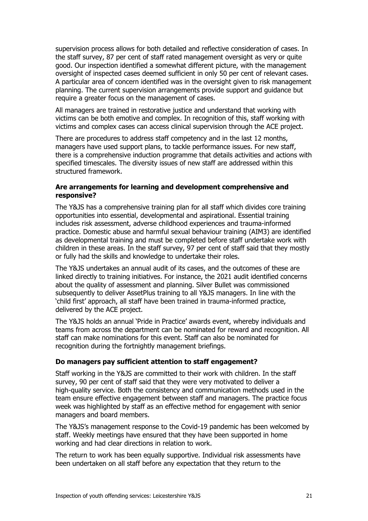supervision process allows for both detailed and reflective consideration of cases. In the staff survey, 87 per cent of staff rated management oversight as very or quite good. Our inspection identified a somewhat different picture, with the management oversight of inspected cases deemed sufficient in only 50 per cent of relevant cases. A particular area of concern identified was in the oversight given to risk management planning. The current supervision arrangements provide support and guidance but require a greater focus on the management of cases.

All managers are trained in restorative justice and understand that working with victims can be both emotive and complex. In recognition of this, staff working with victims and complex cases can access clinical supervision through the ACE project.

There are procedures to address staff competency and in the last 12 months, managers have used support plans, to tackle performance issues. For new staff, there is a comprehensive induction programme that details activities and actions with specified timescales. The diversity issues of new staff are addressed within this structured framework.

## **Are arrangements for learning and development comprehensive and responsive?**

The Y&JS has a comprehensive training plan for all staff which divides core training opportunities into essential, developmental and aspirational. Essential training includes risk assessment, adverse childhood experiences and trauma-informed practice. Domestic abuse and harmful sexual behaviour training (AIM3) are identified as developmental training and must be completed before staff undertake work with children in these areas. In the staff survey, 97 per cent of staff said that they mostly or fully had the skills and knowledge to undertake their roles.

The Y&JS undertakes an annual audit of its cases, and the outcomes of these are linked directly to training initiatives. For instance, the 2021 audit identified concerns about the quality of assessment and planning. Silver Bullet was commissioned subsequently to deliver AssetPlus training to all Y&JS managers. In line with the 'child first' approach, all staff have been trained in trauma-informed practice, delivered by the ACE project.

The Y&JS holds an annual 'Pride in Practice' awards event, whereby individuals and teams from across the department can be nominated for reward and recognition. All staff can make nominations for this event. Staff can also be nominated for recognition during the fortnightly management briefings.

## **Do managers pay sufficient attention to staff engagement?**

Staff working in the Y&JS are committed to their work with children. In the staff survey, 90 per cent of staff said that they were very motivated to deliver a high-quality service. Both the consistency and communication methods used in the team ensure effective engagement between staff and managers. The practice focus week was highlighted by staff as an effective method for engagement with senior managers and board members.

The Y&JS's management response to the Covid-19 pandemic has been welcomed by staff. Weekly meetings have ensured that they have been supported in home working and had clear directions in relation to work.

The return to work has been equally supportive. Individual risk assessments have been undertaken on all staff before any expectation that they return to the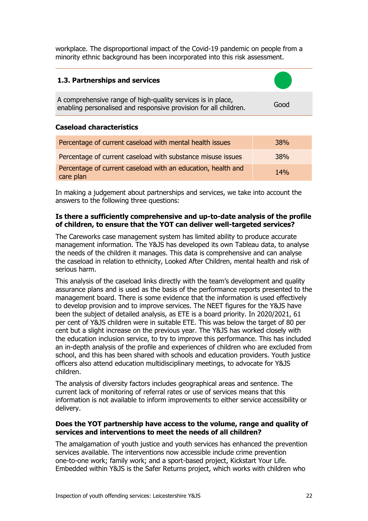workplace. The disproportional impact of the Covid-19 pandemic on people from a minority ethnic background has been incorporated into this risk assessment.

## <span id="page-21-0"></span>**1.3. Partnerships and services**

A comprehensive range of high-quality services is in place, enabling personalised and responsive provision for all children.

#### **Caseload characteristics**

| Percentage of current caseload with mental health issues                  | <b>38%</b> |
|---------------------------------------------------------------------------|------------|
| Percentage of current caseload with substance misuse issues               | 38%        |
| Percentage of current caseload with an education, health and<br>care plan | <b>14%</b> |

In making a judgement about partnerships and services, we take into account the answers to the following three questions:

### **Is there a sufficiently comprehensive and up-to-date analysis of the profile of children, to ensure that the YOT can deliver well-targeted services?**

The Careworks case management system has limited ability to produce accurate management information. The Y&JS has developed its own Tableau data, to analyse the needs of the children it manages. This data is comprehensive and can analyse the caseload in relation to ethnicity, Looked After Children, mental health and risk of serious harm.

This analysis of the caseload links directly with the team's development and quality assurance plans and is used as the basis of the performance reports presented to the management board. There is some evidence that the information is used effectively to develop provision and to improve services. The NEET figures for the Y&JS have been the subject of detailed analysis, as ETE is a board priority. In 2020/2021, 61 per cent of Y&JS children were in suitable ETE. This was below the target of 80 per cent but a slight increase on the previous year. The Y&JS has worked closely with the education inclusion service, to try to improve this performance. This has included an in-depth analysis of the profile and experiences of children who are excluded from school, and this has been shared with schools and education providers. Youth justice officers also attend education multidisciplinary meetings, to advocate for Y&JS children.

The analysis of diversity factors includes geographical areas and sentence. The current lack of monitoring of referral rates or use of services means that this information is not available to inform improvements to either service accessibility or delivery.

#### **Does the YOT partnership have access to the volume, range and quality of services and interventions to meet the needs of all children?**

The amalgamation of youth justice and youth services has enhanced the prevention services available. The interventions now accessible include crime prevention one-to-one work; family work; and a sport-based project, Kickstart Your Life. Embedded within Y&JS is the Safer Returns project, which works with children who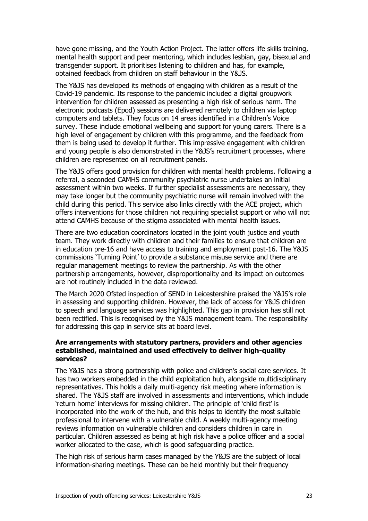have gone missing, and the Youth Action Project. The latter offers life skills training, mental health support and peer mentoring, which includes lesbian, gay, bisexual and transgender support. It prioritises listening to children and has, for example, obtained feedback from children on staff behaviour in the Y&JS.

The Y&JS has developed its methods of engaging with children as a result of the Covid-19 pandemic. Its response to the pandemic included a digital groupwork intervention for children assessed as presenting a high risk of serious harm. The electronic podcasts (Epod) sessions are delivered remotely to children via laptop computers and tablets. They focus on 14 areas identified in a Children's Voice survey. These include emotional wellbeing and support for young carers. There is a high level of engagement by children with this programme, and the feedback from them is being used to develop it further. This impressive engagement with children and young people is also demonstrated in the Y&JS's recruitment processes, where children are represented on all recruitment panels.

The Y&JS offers good provision for children with mental health problems. Following a referral, a seconded CAMHS community psychiatric nurse undertakes an initial assessment within two weeks. If further specialist assessments are necessary, they may take longer but the community psychiatric nurse will remain involved with the child during this period. This service also links directly with the ACE project, which offers interventions for those children not requiring specialist support or who will not attend CAMHS because of the stigma associated with mental health issues.

There are two education coordinators located in the joint youth justice and youth team. They work directly with children and their families to ensure that children are in education pre-16 and have access to training and employment post-16. The Y&JS commissions 'Turning Point' to provide a substance misuse service and there are regular management meetings to review the partnership. As with the other partnership arrangements, however, disproportionality and its impact on outcomes are not routinely included in the data reviewed.

The March 2020 Ofsted inspection of SEND in Leicestershire praised the Y&JS's role in assessing and supporting children. However, the lack of access for Y&JS children to speech and language services was highlighted. This gap in provision has still not been rectified. This is recognised by the Y&JS management team. The responsibility for addressing this gap in service sits at board level.

## **Are arrangements with statutory partners, providers and other agencies established, maintained and used effectively to deliver high-quality services?**

The Y&JS has a strong partnership with police and children's social care services. It has two workers embedded in the child exploitation hub, alongside multidisciplinary representatives. This holds a daily multi-agency risk meeting where information is shared. The Y&JS staff are involved in assessments and interventions, which include 'return home' interviews for missing children. The principle of 'child first' is incorporated into the work of the hub, and this helps to identify the most suitable professional to intervene with a vulnerable child. A weekly multi-agency meeting reviews information on vulnerable children and considers children in care in particular. Children assessed as being at high risk have a police officer and a social worker allocated to the case, which is good safeguarding practice.

The high risk of serious harm cases managed by the Y&JS are the subject of local information-sharing meetings. These can be held monthly but their frequency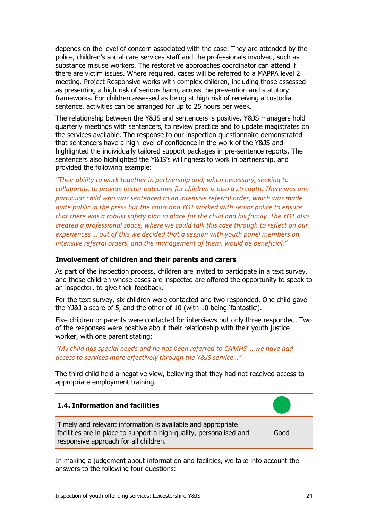depends on the level of concern associated with the case. They are attended by the police, children's social care services staff and the professionals involved, such as substance misuse workers. The restorative approaches coordinator can attend if there are victim issues. Where required, cases will be referred to a MAPPA level 2 meeting. Project Responsive works with complex children, including those assessed as presenting a high risk of serious harm, across the prevention and statutory frameworks. For children assessed as being at high risk of receiving a custodial sentence, activities can be arranged for up to 25 hours per week.

The relationship between the Y&JS and sentencers is positive. Y&JS managers hold quarterly meetings with sentencers, to review practice and to update magistrates on the services available. The response to our inspection questionnaire demonstrated that sentencers have a high level of confidence in the work of the Y&JS and highlighted the individually tailored support packages in pre-sentence reports. The sentencers also highlighted the Y&JS's willingness to work in partnership, and provided the following example:

*"Their ability to work together in partnership and, when necessary, seeking to collaborate to provide better outcomes for children is also a strength. There was one particular child who was sentenced to an intensive referral order, which was made quite public in the press but the court and YOT worked with senior police to ensure that there was a robust safety plan in place for the child and his family. The YOT also created a professional space, where we could talk this case through to reflect on our experiences … out of this we decided that a session with youth panel members on intensive referral orders, and the management of them, would be beneficial."* 

#### **Involvement of children and their parents and carers**

As part of the inspection process, children are invited to participate in a text survey, and those children whose cases are inspected are offered the opportunity to speak to an inspector, to give their feedback.

For the text survey, six children were contacted and two responded. One child gave the YJ&J a score of 5, and the other of 10 (with 10 being 'fantastic').

Five children or parents were contacted for interviews but only three responded. Two of the responses were positive about their relationship with their youth justice worker, with one parent stating:

*"My child has special needs and he has been referred to CAMHS … we have had access to services more effectively through the Y&JS service…"*

The third child held a negative view, believing that they had not received access to appropriate employment training.

<span id="page-23-0"></span>

In making a judgement about information and facilities, we take into account the answers to the following four questions: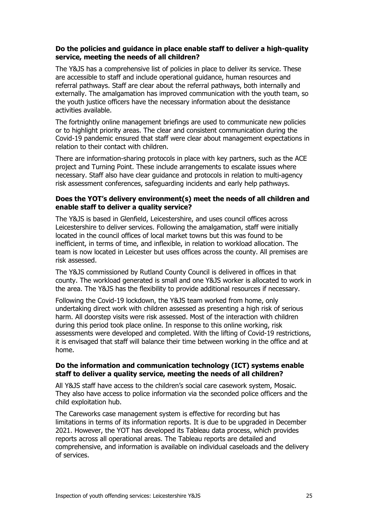## **Do the policies and guidance in place enable staff to deliver a high-quality service, meeting the needs of all children?**

The Y&JS has a comprehensive list of policies in place to deliver its service. These are accessible to staff and include operational guidance, human resources and referral pathways. Staff are clear about the referral pathways, both internally and externally. The amalgamation has improved communication with the youth team, so the youth justice officers have the necessary information about the desistance activities available.

The fortnightly online management briefings are used to communicate new policies or to highlight priority areas. The clear and consistent communication during the Covid-19 pandemic ensured that staff were clear about management expectations in relation to their contact with children.

There are information-sharing protocols in place with key partners, such as the ACE project and Turning Point. These include arrangements to escalate issues where necessary. Staff also have clear guidance and protocols in relation to multi-agency risk assessment conferences, safeguarding incidents and early help pathways.

## **Does the YOT's delivery environment(s) meet the needs of all children and enable staff to deliver a quality service?**

The Y&JS is based in Glenfield, Leicestershire, and uses council offices across Leicestershire to deliver services. Following the amalgamation, staff were initially located in the council offices of local market towns but this was found to be inefficient, in terms of time, and inflexible, in relation to workload allocation. The team is now located in Leicester but uses offices across the county. All premises are risk assessed.

The Y&JS commissioned by Rutland County Council is delivered in offices in that county. The workload generated is small and one Y&JS worker is allocated to work in the area. The Y&JS has the flexibility to provide additional resources if necessary.

Following the Covid-19 lockdown, the Y&JS team worked from home, only undertaking direct work with children assessed as presenting a high risk of serious harm. All doorstep visits were risk assessed. Most of the interaction with children during this period took place online. In response to this online working, risk assessments were developed and completed. With the lifting of Covid-19 restrictions, it is envisaged that staff will balance their time between working in the office and at home.

## **Do the information and communication technology (ICT) systems enable staff to deliver a quality service, meeting the needs of all children?**

All Y&JS staff have access to the children's social care casework system, Mosaic. They also have access to police information via the seconded police officers and the child exploitation hub.

The Careworks case management system is effective for recording but has limitations in terms of its information reports. It is due to be upgraded in December 2021. However, the YOT has developed its Tableau data process, which provides reports across all operational areas. The Tableau reports are detailed and comprehensive, and information is available on individual caseloads and the delivery of services.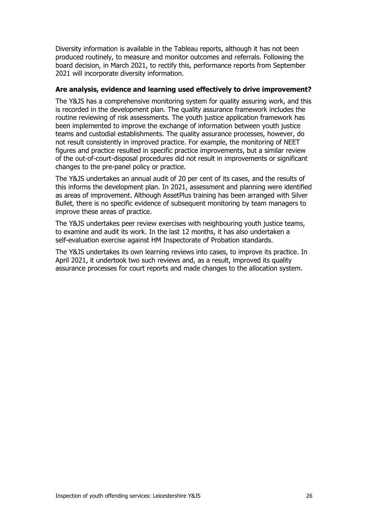Diversity information is available in the Tableau reports, although it has not been produced routinely, to measure and monitor outcomes and referrals. Following the board decision, in March 2021, to rectify this, performance reports from September 2021 will incorporate diversity information.

### **Are analysis, evidence and learning used effectively to drive improvement?**

The Y&JS has a comprehensive monitoring system for quality assuring work, and this is recorded in the development plan. The quality assurance framework includes the routine reviewing of risk assessments. The youth justice application framework has been implemented to improve the exchange of information between youth justice teams and custodial establishments. The quality assurance processes, however, do not result consistently in improved practice. For example, the monitoring of NEET figures and practice resulted in specific practice improvements, but a similar review of the out-of-court-disposal procedures did not result in improvements or significant changes to the pre-panel policy or practice.

The Y&JS undertakes an annual audit of 20 per cent of its cases, and the results of this informs the development plan. In 2021, assessment and planning were identified as areas of improvement. Although AssetPlus training has been arranged with Silver Bullet, there is no specific evidence of subsequent monitoring by team managers to improve these areas of practice.

The Y&JS undertakes peer review exercises with neighbouring youth justice teams, to examine and audit its work. In the last 12 months, it has also undertaken a self-evaluation exercise against HM Inspectorate of Probation standards.

The Y&JS undertakes its own learning reviews into cases, to improve its practice. In April 2021, it undertook two such reviews and, as a result, improved its quality assurance processes for court reports and made changes to the allocation system.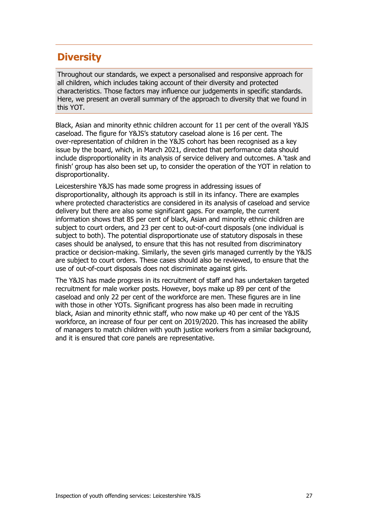## **Diversity**

Throughout our standards, we expect a personalised and responsive approach for all children, which includes taking account of their diversity and protected characteristics. Those factors may influence our judgements in specific standards. Here, we present an overall summary of the approach to diversity that we found in this YOT.

Black, Asian and minority ethnic children account for 11 per cent of the overall Y&JS caseload. The figure for Y&JS's statutory caseload alone is 16 per cent. The over-representation of children in the Y&JS cohort has been recognised as a key issue by the board, which, in March 2021, directed that performance data should include disproportionality in its analysis of service delivery and outcomes. A 'task and finish' group has also been set up, to consider the operation of the YOT in relation to disproportionality.

Leicestershire Y&JS has made some progress in addressing issues of disproportionality, although its approach is still in its infancy. There are examples where protected characteristics are considered in its analysis of caseload and service delivery but there are also some significant gaps. For example, the current information shows that 85 per cent of black, Asian and minority ethnic children are subject to court orders, and 23 per cent to out-of-court disposals (one individual is subject to both). The potential disproportionate use of statutory disposals in these cases should be analysed, to ensure that this has not resulted from discriminatory practice or decision-making. Similarly, the seven girls managed currently by the Y&JS are subject to court orders. These cases should also be reviewed, to ensure that the use of out-of-court disposals does not discriminate against girls.

The Y&JS has made progress in its recruitment of staff and has undertaken targeted recruitment for male worker posts. However, boys make up 89 per cent of the caseload and only 22 per cent of the workforce are men. These figures are in line with those in other YOTs. Significant progress has also been made in recruiting black, Asian and minority ethnic staff, who now make up 40 per cent of the Y&JS workforce, an increase of four per cent on 2019/2020. This has increased the ability of managers to match children with youth justice workers from a similar background, and it is ensured that core panels are representative.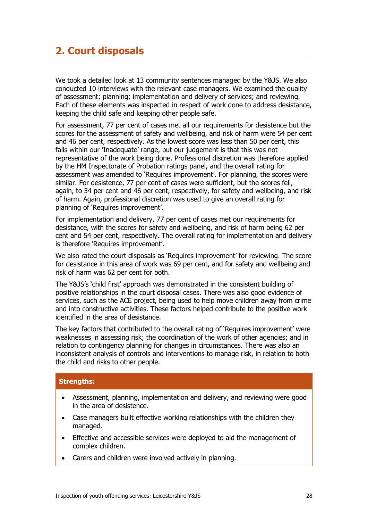## <span id="page-27-0"></span>**2. Court disposals**

We took a detailed look at 13 community sentences managed by the Y&JS. We also conducted 10 interviews with the relevant case managers. We examined the quality of assessment; planning; implementation and delivery of services; and reviewing. Each of these elements was inspected in respect of work done to address desistance, keeping the child safe and keeping other people safe.

For assessment, 77 per cent of cases met all our requirements for desistence but the scores for the assessment of safety and wellbeing, and risk of harm were 54 per cent and 46 per cent, respectively. As the lowest score was less than 50 per cent, this falls within our 'Inadequate' range, but our judgement is that this was not representative of the work being done. Professional discretion was therefore applied by the HM Inspectorate of Probation ratings panel, and the overall rating for assessment was amended to 'Requires improvement'. For planning, the scores were similar. For desistence, 77 per cent of cases were sufficient, but the scores fell, again, to 54 per cent and 46 per cent, respectively, for safety and wellbeing, and risk of harm. Again, professional discretion was used to give an overall rating for planning of 'Requires improvement'.

For implementation and delivery, 77 per cent of cases met our requirements for desistance, with the scores for safety and wellbeing, and risk of harm being 62 per cent and 54 per cent, respectively. The overall rating for implementation and delivery is therefore 'Requires improvement'.

We also rated the court disposals as 'Requires improvement' for reviewing. The score for desistance in this area of work was 69 per cent, and for safety and wellbeing and risk of harm was 62 per cent for both.

The Y&JS's 'child first' approach was demonstrated in the consistent building of positive relationships in the court disposal cases. There was also good evidence of services, such as the ACE project, being used to help move children away from crime and into constructive activities. These factors helped contribute to the positive work identified in the area of desistance.

The key factors that contributed to the overall rating of 'Requires improvement' were weaknesses in assessing risk; the coordination of the work of other agencies; and in relation to contingency planning for changes in circumstances. There was also an inconsistent analysis of controls and interventions to manage risk, in relation to both the child and risks to other people.

## **Strengths:**

- Assessment, planning, implementation and delivery, and reviewing were good in the area of desistence.
- Case managers built effective working relationships with the children they managed.
- Effective and accessible services were deployed to aid the management of complex children.
- Carers and children were involved actively in planning.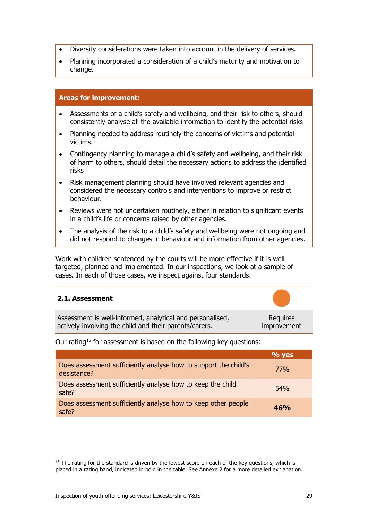- Diversity considerations were taken into account in the delivery of services.
- Planning incorporated a consideration of a child's maturity and motivation to change.

## **Areas for improvement:**

- Assessments of a child's safety and wellbeing, and their risk to others, should consistently analyse all the available information to identify the potential risks
- Planning needed to address routinely the concerns of victims and potential victims.
- Contingency planning to manage a child's safety and wellbeing, and their risk of harm to others, should detail the necessary actions to address the identified risks
- Risk management planning should have involved relevant agencies and considered the necessary controls and interventions to improve or restrict behaviour.
- Reviews were not undertaken routinely, either in relation to significant events in a child's life or concerns raised by other agencies.
- The analysis of the risk to a child's safety and wellbeing were not ongoing and did not respond to changes in behaviour and information from other agencies.

Work with children sentenced by the courts will be more effective if it is well targeted, planned and implemented. In our inspections, we look at a sample of cases. In each of those cases, we inspect against four standards.

## <span id="page-28-0"></span>**2.1. Assessment**

| Assessment is well-informed, analytical and personalised, | Requires    |
|-----------------------------------------------------------|-------------|
| actively involving the child and their parents/carers.    | improvement |

Our rating<sup>[15](#page-28-1)</sup> for assessment is based on the following key questions:

|                                                                                | $\%$ yes   |
|--------------------------------------------------------------------------------|------------|
| Does assessment sufficiently analyse how to support the child's<br>desistance? | <b>77%</b> |
| Does assessment sufficiently analyse how to keep the child<br>safe?            | 54%        |
| Does assessment sufficiently analyse how to keep other people<br>safe?         | 46%        |

<span id="page-28-1"></span> $15$  The rating for the standard is driven by the lowest score on each of the key questions, which is placed in a rating band, indicated in bold in the table. See Annexe 2 for a more detailed explanation.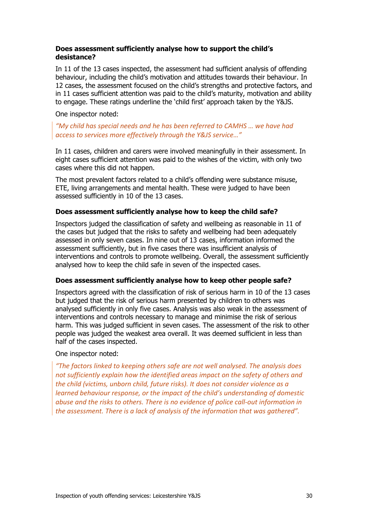## **Does assessment sufficiently analyse how to support the child's desistance?**

In 11 of the 13 cases inspected, the assessment had sufficient analysis of offending behaviour, including the child's motivation and attitudes towards their behaviour. In 12 cases, the assessment focused on the child's strengths and protective factors, and in 11 cases sufficient attention was paid to the child's maturity, motivation and ability to engage. These ratings underline the 'child first' approach taken by the Y&JS.

### One inspector noted:

## *"My child has special needs and he has been referred to CAMHS … we have had access to services more effectively through the Y&JS service…"*

In 11 cases, children and carers were involved meaningfully in their assessment. In eight cases sufficient attention was paid to the wishes of the victim, with only two cases where this did not happen.

The most prevalent factors related to a child's offending were substance misuse, ETE, living arrangements and mental health. These were judged to have been assessed sufficiently in 10 of the 13 cases.

## **Does assessment sufficiently analyse how to keep the child safe?**

Inspectors judged the classification of safety and wellbeing as reasonable in 11 of the cases but judged that the risks to safety and wellbeing had been adequately assessed in only seven cases. In nine out of 13 cases, information informed the assessment sufficiently, but in five cases there was insufficient analysis of interventions and controls to promote wellbeing. Overall, the assessment sufficiently analysed how to keep the child safe in seven of the inspected cases.

#### **Does assessment sufficiently analyse how to keep other people safe?**

Inspectors agreed with the classification of risk of serious harm in 10 of the 13 cases but judged that the risk of serious harm presented by children to others was analysed sufficiently in only five cases. Analysis was also weak in the assessment of interventions and controls necessary to manage and minimise the risk of serious harm. This was judged sufficient in seven cases. The assessment of the risk to other people was judged the weakest area overall. It was deemed sufficient in less than half of the cases inspected.

#### One inspector noted:

*"The factors linked to keeping others safe are not well analysed. The analysis does not sufficiently explain how the identified areas impact on the safety of others and the child (victims, unborn child, future risks). It does not consider violence as a learned behaviour response, or the impact of the child's understanding of domestic abuse and the risks to others. There is no evidence of police call-out information in the assessment. There is a lack of analysis of the information that was gathered".*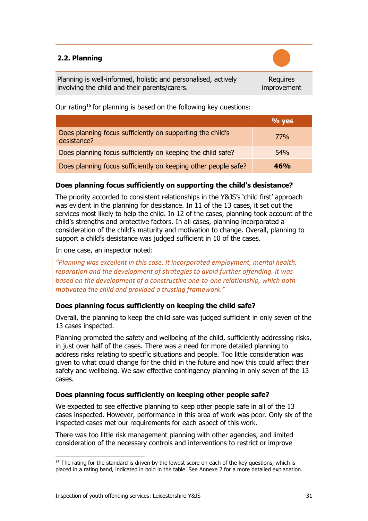## <span id="page-30-0"></span>**2.2. Planning**

Planning is well-informed, holistic and personalised, actively involving the child and their parents/carers.

**Requires** improvement

Our rating<sup>[16](#page-30-1)</sup> for planning is based on the following key questions:

|                                                                           | $\%$ yes |
|---------------------------------------------------------------------------|----------|
| Does planning focus sufficiently on supporting the child's<br>desistance? | 77%      |
| Does planning focus sufficiently on keeping the child safe?               | 54%      |
| Does planning focus sufficiently on keeping other people safe?            | 46%      |

## **Does planning focus sufficiently on supporting the child's desistance?**

The priority accorded to consistent relationships in the Y&JS's 'child first' approach was evident in the planning for desistance. In 11 of the 13 cases, it set out the services most likely to help the child. In 12 of the cases, planning took account of the child's strengths and protective factors. In all cases, planning incorporated a consideration of the child's maturity and motivation to change. Overall, planning to support a child's desistance was judged sufficient in 10 of the cases.

In one case, an inspector noted:

*"Planning was excellent in this case. It incorporated employment, mental health, reparation and the development of strategies to avoid further offending. It was based on the development of a constructive one-to-one relationship, which both motivated the child and provided a trusting framework."*

## **Does planning focus sufficiently on keeping the child safe?**

Overall, the planning to keep the child safe was judged sufficient in only seven of the 13 cases inspected.

Planning promoted the safety and wellbeing of the child, sufficiently addressing risks, in just over half of the cases. There was a need for more detailed planning to address risks relating to specific situations and people. Too little consideration was given to what could change for the child in the future and how this could affect their safety and wellbeing. We saw effective contingency planning in only seven of the 13 cases.

## **Does planning focus sufficiently on keeping other people safe?**

We expected to see effective planning to keep other people safe in all of the 13 cases inspected. However, performance in this area of work was poor. Only six of the inspected cases met our requirements for each aspect of this work.

There was too little risk management planning with other agencies, and limited consideration of the necessary controls and interventions to restrict or improve

<span id="page-30-1"></span> $16$  The rating for the standard is driven by the lowest score on each of the key questions, which is placed in a rating band, indicated in bold in the table. See Annexe 2 for a more detailed explanation.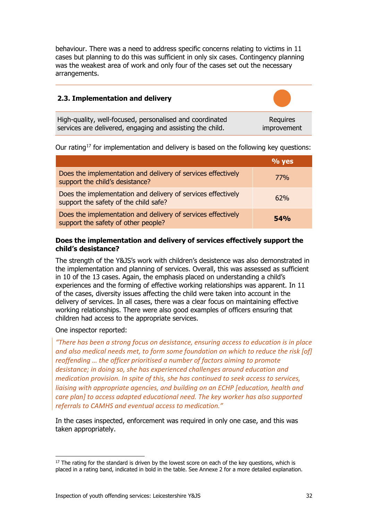behaviour. There was a need to address specific concerns relating to victims in 11 cases but planning to do this was sufficient in only six cases. Contingency planning was the weakest area of work and only four of the cases set out the necessary arrangements.

<span id="page-31-0"></span>

| 2.3. Implementation and delivery                          |             |
|-----------------------------------------------------------|-------------|
| High-quality, well-focused, personalised and coordinated  | Requires    |
| services are delivered, engaging and assisting the child. | improvement |

Our rating<sup>[17](#page-31-1)</sup> for implementation and delivery is based on the following key questions:

|                                                                                                       | $\%$ yes   |
|-------------------------------------------------------------------------------------------------------|------------|
| Does the implementation and delivery of services effectively<br>support the child's desistance?       | <b>77%</b> |
| Does the implementation and delivery of services effectively<br>support the safety of the child safe? | 62%        |
| Does the implementation and delivery of services effectively<br>support the safety of other people?   | 54%        |

## **Does the implementation and delivery of services effectively support the child's desistance?**

The strength of the Y&JS's work with children's desistence was also demonstrated in the implementation and planning of services. Overall, this was assessed as sufficient in 10 of the 13 cases. Again, the emphasis placed on understanding a child's experiences and the forming of effective working relationships was apparent. In 11 of the cases, diversity issues affecting the child were taken into account in the delivery of services. In all cases, there was a clear focus on maintaining effective working relationships. There were also good examples of officers ensuring that children had access to the appropriate services.

One inspector reported:

*"There has been a strong focus on desistance, ensuring access to education is in place and also medical needs met, to form some foundation on which to reduce the risk [of] reoffending … the officer prioritised a number of factors aiming to promote desistance; in doing so, she has experienced challenges around education and medication provision. In spite of this, she has continued to seek access to services, liaising with appropriate agencies, and building on an ECHP [education, health and care plan] to access adapted educational need. The key worker has also supported referrals to CAMHS and eventual access to medication."*

In the cases inspected, enforcement was required in only one case, and this was taken appropriately.

<span id="page-31-1"></span> $17$  The rating for the standard is driven by the lowest score on each of the key questions, which is placed in a rating band, indicated in bold in the table. See Annexe 2 for a more detailed explanation.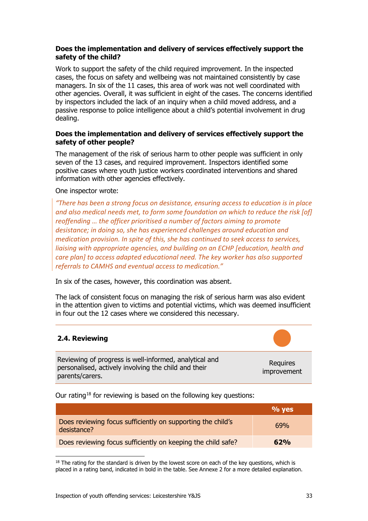## **Does the implementation and delivery of services effectively support the safety of the child?**

Work to support the safety of the child required improvement. In the inspected cases, the focus on safety and wellbeing was not maintained consistently by case managers. In six of the 11 cases, this area of work was not well coordinated with other agencies. Overall, it was sufficient in eight of the cases. The concerns identified by inspectors included the lack of an inquiry when a child moved address, and a passive response to police intelligence about a child's potential involvement in drug dealing.

## **Does the implementation and delivery of services effectively support the safety of other people?**

The management of the risk of serious harm to other people was sufficient in only seven of the 13 cases, and required improvement. Inspectors identified some positive cases where youth justice workers coordinated interventions and shared information with other agencies effectively.

#### One inspector wrote:

*"There has been a strong focus on desistance, ensuring access to education is in place and also medical needs met, to form some foundation on which to reduce the risk [of] reoffending … the officer prioritised a number of factors aiming to promote desistance; in doing so, she has experienced challenges around education and medication provision. In spite of this, she has continued to seek access to services, liaising with appropriate agencies, and building on an ECHP [education, health and care plan] to access adapted educational need. The key worker has also supported referrals to CAMHS and eventual access to medication."*

In six of the cases, however, this coordination was absent.

The lack of consistent focus on managing the risk of serious harm was also evident in the attention given to victims and potential victims, which was deemed insufficient in four out the 12 cases where we considered this necessary.

## <span id="page-32-0"></span>**2.4. Reviewing**

Reviewing of progress is well-informed, analytical and personalised, actively involving the child and their parents/carers.

Requires improvement

Our rating<sup>[18](#page-32-1)</sup> for reviewing is based on the following key questions:

|                                                                            | $\%$ yes |
|----------------------------------------------------------------------------|----------|
| Does reviewing focus sufficiently on supporting the child's<br>desistance? | 69%      |
| Does reviewing focus sufficiently on keeping the child safe?               | 62%      |

<span id="page-32-1"></span> $18$  The rating for the standard is driven by the lowest score on each of the key questions, which is placed in a rating band, indicated in bold in the table. See Annexe 2 for a more detailed explanation.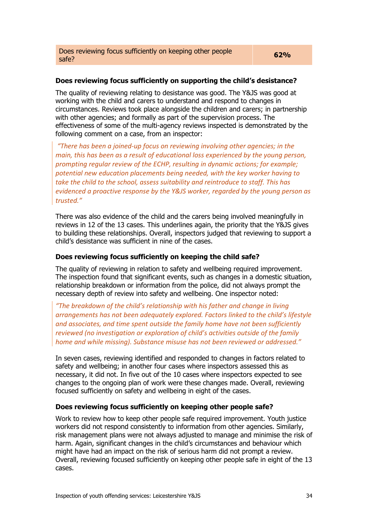## **Does reviewing focus sufficiently on supporting the child's desistance?**

The quality of reviewing relating to desistance was good. The Y&JS was good at working with the child and carers to understand and respond to changes in circumstances. Reviews took place alongside the children and carers; in partnership with other agencies; and formally as part of the supervision process. The effectiveness of some of the multi-agency reviews inspected is demonstrated by the following comment on a case, from an inspector:

*"There has been a joined-up focus on reviewing involving other agencies; in the main, this has been as a result of educational loss experienced by the young person, prompting regular review of the ECHP, resulting in dynamic actions; for example; potential new education placements being needed, with the key worker having to take the child to the school, assess suitability and reintroduce to staff. This has evidenced a proactive response by the Y&JS worker, regarded by the young person as trusted."*

There was also evidence of the child and the carers being involved meaningfully in reviews in 12 of the 13 cases. This underlines again, the priority that the Y&JS gives to building these relationships. Overall, inspectors judged that reviewing to support a child's desistance was sufficient in nine of the cases.

## **Does reviewing focus sufficiently on keeping the child safe?**

The quality of reviewing in relation to safety and wellbeing required improvement. The inspection found that significant events, such as changes in a domestic situation, relationship breakdown or information from the police, did not always prompt the necessary depth of review into safety and wellbeing. One inspector noted:

*"The breakdown of the child's relationship with his father and change in living arrangements has not been adequately explored. Factors linked to the child's lifestyle and associates, and time spent outside the family home have not been sufficiently reviewed (no investigation or exploration of child's activities outside of the family home and while missing). Substance misuse has not been reviewed or addressed."*

In seven cases, reviewing identified and responded to changes in factors related to safety and wellbeing; in another four cases where inspectors assessed this as necessary, it did not. In five out of the 10 cases where inspectors expected to see changes to the ongoing plan of work were these changes made. Overall, reviewing focused sufficiently on safety and wellbeing in eight of the cases.

## **Does reviewing focus sufficiently on keeping other people safe?**

Work to review how to keep other people safe required improvement. Youth justice workers did not respond consistently to information from other agencies. Similarly, risk management plans were not always adjusted to manage and minimise the risk of harm. Again, significant changes in the child's circumstances and behaviour which might have had an impact on the risk of serious harm did not prompt a review. Overall, reviewing focused sufficiently on keeping other people safe in eight of the 13 cases.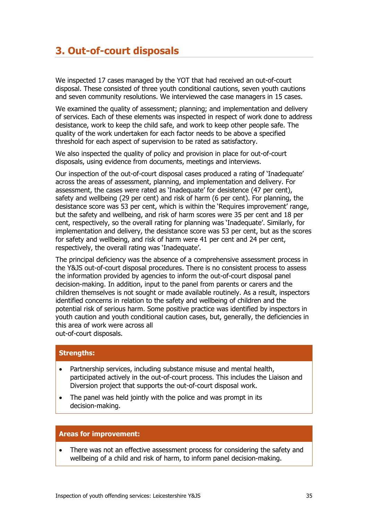## <span id="page-34-0"></span>**3. Out-of-court disposals**

We inspected 17 cases managed by the YOT that had received an out-of-court disposal. These consisted of three youth conditional cautions, seven youth cautions and seven community resolutions. We interviewed the case managers in 15 cases.

We examined the quality of assessment; planning; and implementation and delivery of services. Each of these elements was inspected in respect of work done to address desistance, work to keep the child safe, and work to keep other people safe. The quality of the work undertaken for each factor needs to be above a specified threshold for each aspect of supervision to be rated as satisfactory.

We also inspected the quality of policy and provision in place for out-of-court disposals, using evidence from documents, meetings and interviews.

Our inspection of the out-of-court disposal cases produced a rating of 'Inadequate' across the areas of assessment, planning, and implementation and delivery. For assessment, the cases were rated as 'Inadequate' for desistence (47 per cent), safety and wellbeing (29 per cent) and risk of harm (6 per cent). For planning, the desistance score was 53 per cent, which is within the 'Requires improvement' range, but the safety and wellbeing, and risk of harm scores were 35 per cent and 18 per cent, respectively, so the overall rating for planning was 'Inadequate'. Similarly, for implementation and delivery, the desistance score was 53 per cent, but as the scores for safety and wellbeing, and risk of harm were 41 per cent and 24 per cent, respectively, the overall rating was 'Inadequate'.

The principal deficiency was the absence of a comprehensive assessment process in the Y&JS out-of-court disposal procedures. There is no consistent process to assess the information provided by agencies to inform the out-of-court disposal panel decision-making. In addition, input to the panel from parents or carers and the children themselves is not sought or made available routinely. As a result, inspectors identified concerns in relation to the safety and wellbeing of children and the potential risk of serious harm. Some positive practice was identified by inspectors in youth caution and youth conditional caution cases, but, generally, the deficiencies in this area of work were across all out-of-court disposals.

## **Strengths:**

- Partnership services, including substance misuse and mental health, participated actively in the out-of-court process. This includes the Liaison and Diversion project that supports the out-of-court disposal work.
- The panel was held jointly with the police and was prompt in its decision-making.

#### **Areas for improvement:**

There was not an effective assessment process for considering the safety and wellbeing of a child and risk of harm, to inform panel decision-making.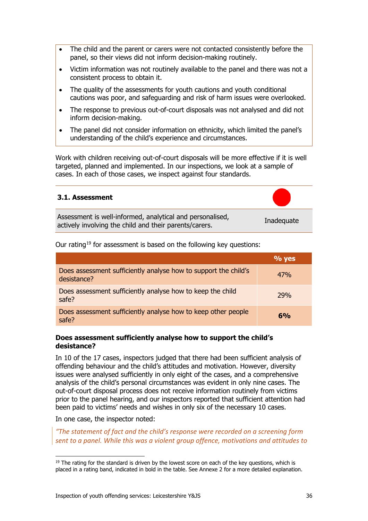- The child and the parent or carers were not contacted consistently before the panel, so their views did not inform decision-making routinely.
- Victim information was not routinely available to the panel and there was not a consistent process to obtain it.
- The quality of the assessments for youth cautions and youth conditional cautions was poor, and safeguarding and risk of harm issues were overlooked.
- The response to previous out-of-court disposals was not analysed and did not inform decision-making.
- The panel did not consider information on ethnicity, which limited the panel's understanding of the child's experience and circumstances.

Work with children receiving out-of-court disposals will be more effective if it is well targeted, planned and implemented. In our inspections, we look at a sample of cases. In each of those cases, we inspect against four standards.

## <span id="page-35-0"></span>**3.1. Assessment**

Assessment is well-informed, analytical and personalised, Assessment is well-implified, analytical and personalised,<br>actively involving the child and their parents/carers.



| Our rating <sup>19</sup> for assessment is based on the following key questions: |          |
|----------------------------------------------------------------------------------|----------|
|                                                                                  | $\%$ yes |
| Does assessment sufficiently analyse how to support the child's<br>desistance?   | 47%      |
| Does assessment sufficiently analyse how to keep the child<br>safe?              | 79%      |
| Does assessment sufficiently analyse how to keep other people<br>safe?           | $6\%$    |

## **Does assessment sufficiently analyse how to support the child's desistance?**

In 10 of the 17 cases, inspectors judged that there had been sufficient analysis of offending behaviour and the child's attitudes and motivation. However, diversity issues were analysed sufficiently in only eight of the cases, and a comprehensive analysis of the child's personal circumstances was evident in only nine cases. The out-of-court disposal process does not receive information routinely from victims prior to the panel hearing, and our inspectors reported that sufficient attention had been paid to victims' needs and wishes in only six of the necessary 10 cases.

In one case, the inspector noted:

*"The statement of fact and the child's response were recorded on a screening form sent to a panel. While this was a violent group offence, motivations and attitudes to* 

<span id="page-35-1"></span> $19$  The rating for the standard is driven by the lowest score on each of the key questions, which is placed in a rating band, indicated in bold in the table. See Annexe 2 for a more detailed explanation.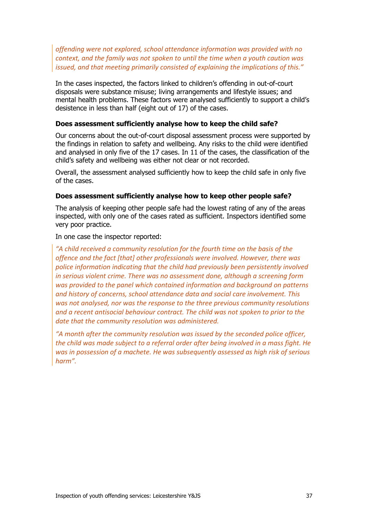*offending were not explored, school attendance information was provided with no context, and the family was not spoken to until the time when a youth caution was issued, and that meeting primarily consisted of explaining the implications of this."*

In the cases inspected, the factors linked to children's offending in out-of-court disposals were substance misuse; living arrangements and lifestyle issues; and mental health problems. These factors were analysed sufficiently to support a child's desistence in less than half (eight out of 17) of the cases.

#### **Does assessment sufficiently analyse how to keep the child safe?**

Our concerns about the out-of-court disposal assessment process were supported by the findings in relation to safety and wellbeing. Any risks to the child were identified and analysed in only five of the 17 cases. In 11 of the cases, the classification of the child's safety and wellbeing was either not clear or not recorded.

Overall, the assessment analysed sufficiently how to keep the child safe in only five of the cases.

#### **Does assessment sufficiently analyse how to keep other people safe?**

The analysis of keeping other people safe had the lowest rating of any of the areas inspected, with only one of the cases rated as sufficient. Inspectors identified some very poor practice.

In one case the inspector reported:

*"A child received a community resolution for the fourth time on the basis of the offence and the fact [that] other professionals were involved. However, there was police information indicating that the child had previously been persistently involved in serious violent crime. There was no assessment done, although a screening form was provided to the panel which contained information and background on patterns and history of concerns, school attendance data and social care involvement. This was not analysed, nor was the response to the three previous community resolutions and a recent antisocial behaviour contract. The child was not spoken to prior to the date that the community resolution was administered.* 

*"A month after the community resolution was issued by the seconded police officer, the child was made subject to a referral order after being involved in a mass fight. He was in possession of a machete. He was subsequently assessed as high risk of serious harm".*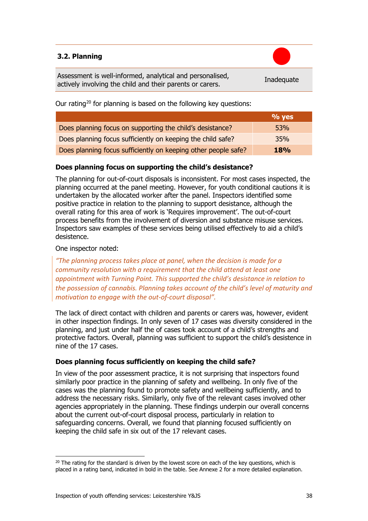## <span id="page-37-0"></span>**3.2. Planning**

Assessment is well-informed, analytical and personalised, Assessment is well-informed, analytical and personalised,<br>actively involving the child and their parents or carers.

Our rating<sup>[20](#page-37-1)</sup> for planning is based on the following key questions:

|                                                                | $\%$ yes   |
|----------------------------------------------------------------|------------|
| Does planning focus on supporting the child's desistance?      | <b>53%</b> |
| Does planning focus sufficiently on keeping the child safe?    | <b>35%</b> |
| Does planning focus sufficiently on keeping other people safe? | <b>18%</b> |

## **Does planning focus on supporting the child's desistance?**

The planning for out-of-court disposals is inconsistent. For most cases inspected, the planning occurred at the panel meeting. However, for youth conditional cautions it is undertaken by the allocated worker after the panel. Inspectors identified some positive practice in relation to the planning to support desistance, although the overall rating for this area of work is 'Requires improvement'. The out-of-court process benefits from the involvement of diversion and substance misuse services. Inspectors saw examples of these services being utilised effectively to aid a child's desistence.

## One inspector noted:

*"The planning process takes place at panel, when the decision is made for a community resolution with a requirement that the child attend at least one appointment with Turning Point. This supported the child's desistance in relation to the possession of cannabis. Planning takes account of the child's level of maturity and motivation to engage with the out-of-court disposal".*

The lack of direct contact with children and parents or carers was, however, evident in other inspection findings. In only seven of 17 cases was diversity considered in the planning, and just under half the of cases took account of a child's strengths and protective factors. Overall, planning was sufficient to support the child's desistence in nine of the 17 cases.

## **Does planning focus sufficiently on keeping the child safe?**

In view of the poor assessment practice, it is not surprising that inspectors found similarly poor practice in the planning of safety and wellbeing. In only five of the cases was the planning found to promote safety and wellbeing sufficiently, and to address the necessary risks. Similarly, only five of the relevant cases involved other agencies appropriately in the planning. These findings underpin our overall concerns about the current out-of-court disposal process, particularly in relation to safeguarding concerns. Overall, we found that planning focused sufficiently on keeping the child safe in six out of the 17 relevant cases.

<span id="page-37-1"></span> $20$  The rating for the standard is driven by the lowest score on each of the key questions, which is placed in a rating band, indicated in bold in the table. See Annexe 2 for a more detailed explanation.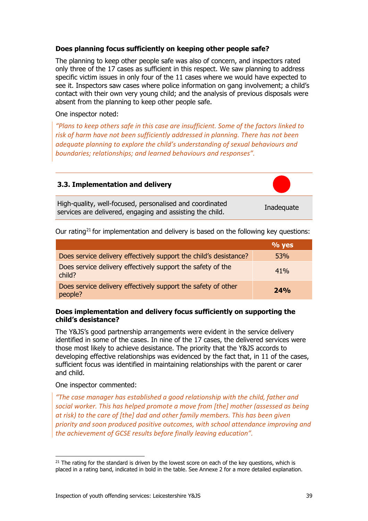## **Does planning focus sufficiently on keeping other people safe?**

The planning to keep other people safe was also of concern, and inspectors rated only three of the 17 cases as sufficient in this respect. We saw planning to address specific victim issues in only four of the 11 cases where we would have expected to see it. Inspectors saw cases where police information on gang involvement; a child's contact with their own very young child; and the analysis of previous disposals were absent from the planning to keep other people safe.

### One inspector noted:

*"Plans to keep others safe in this case are insufficient. Some of the factors linked to risk of harm have not been sufficiently addressed in planning. There has not been adequate planning to explore the child's understanding of sexual behaviours and boundaries; relationships; and learned behaviours and responses".*

## <span id="page-38-0"></span>**3.3. Implementation and delivery**

High-quality, well-focused, personalised and coordinated services are delivered, engaging and assisting the child.

Our rating<sup>[21](#page-38-1)</sup> for implementation and delivery is based on the following key questions:

|                                                                          | $\%$ yes |
|--------------------------------------------------------------------------|----------|
| Does service delivery effectively support the child's desistance?        | 53%      |
| Does service delivery effectively support the safety of the<br>child?    | 41%      |
| Does service delivery effectively support the safety of other<br>people? | 24%      |

## **Does implementation and delivery focus sufficiently on supporting the child's desistance?**

The Y&JS's good partnership arrangements were evident in the service delivery identified in some of the cases. In nine of the 17 cases, the delivered services were those most likely to achieve desistance. The priority that the Y&JS accords to developing effective relationships was evidenced by the fact that, in 11 of the cases, sufficient focus was identified in maintaining relationships with the parent or carer and child.

## One inspector commented:

*"The case manager has established a good relationship with the child, father and social worker. This has helped promote a move from [the] mother (assessed as being at risk) to the care of [the] dad and other family members. This has been given priority and soon produced positive outcomes, with school attendance improving and the achievement of GCSE results before finally leaving education".*

<span id="page-38-1"></span> $21$  The rating for the standard is driven by the lowest score on each of the key questions, which is placed in a rating band, indicated in bold in the table. See Annexe 2 for a more detailed explanation.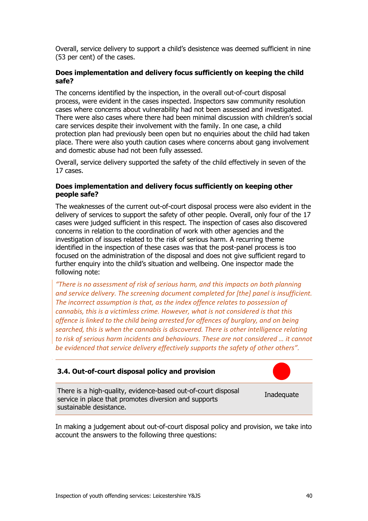Overall, service delivery to support a child's desistence was deemed sufficient in nine (53 per cent) of the cases.

### **Does implementation and delivery focus sufficiently on keeping the child safe?**

The concerns identified by the inspection, in the overall out-of-court disposal process, were evident in the cases inspected. Inspectors saw community resolution cases where concerns about vulnerability had not been assessed and investigated. There were also cases where there had been minimal discussion with children's social care services despite their involvement with the family. In one case, a child protection plan had previously been open but no enquiries about the child had taken place. There were also youth caution cases where concerns about gang involvement and domestic abuse had not been fully assessed.

Overall, service delivery supported the safety of the child effectively in seven of the 17 cases.

### **Does implementation and delivery focus sufficiently on keeping other people safe?**

The weaknesses of the current out-of-court disposal process were also evident in the delivery of services to support the safety of other people. Overall, only four of the 17 cases were judged sufficient in this respect. The inspection of cases also discovered concerns in relation to the coordination of work with other agencies and the investigation of issues related to the risk of serious harm. A recurring theme identified in the inspection of these cases was that the post-panel process is too focused on the administration of the disposal and does not give sufficient regard to further enquiry into the child's situation and wellbeing. One inspector made the following note:

*"There is no assessment of risk of serious harm, and this impacts on both planning and service delivery. The screening document completed for [the] panel is insufficient. The incorrect assumption is that, as the index offence relates to possession of cannabis, this is a victimless crime. However, what is not considered is that this offence is linked to the child being arrested for offences of burglary, and on being searched, this is when the cannabis is discovered. There is other intelligence relating to risk of serious harm incidents and behaviours. These are not considered … it cannot be evidenced that service delivery effectively supports the safety of other others".*

## <span id="page-39-0"></span>**3.4. Out-of-court disposal policy and provision**

There is a high-quality, evidence-based out-of-court disposal service in place that promotes diversion and supports sustainable desistance.



In making a judgement about out-of-court disposal policy and provision, we take into account the answers to the following three questions: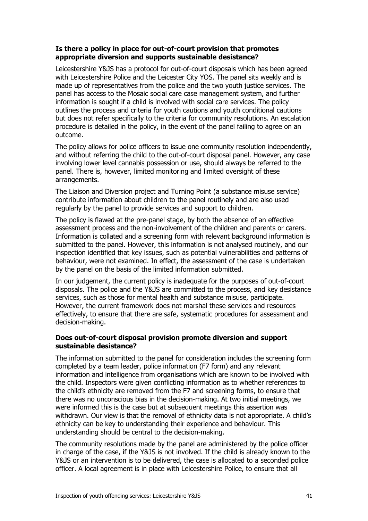## **Is there a policy in place for out-of-court provision that promotes appropriate diversion and supports sustainable desistance?**

Leicestershire Y&JS has a protocol for out-of-court disposals which has been agreed with Leicestershire Police and the Leicester City YOS. The panel sits weekly and is made up of representatives from the police and the two youth justice services. The panel has access to the Mosaic social care case management system, and further information is sought if a child is involved with social care services. The policy outlines the process and criteria for youth cautions and youth conditional cautions but does not refer specifically to the criteria for community resolutions. An escalation procedure is detailed in the policy, in the event of the panel failing to agree on an outcome.

The policy allows for police officers to issue one community resolution independently, and without referring the child to the out-of-court disposal panel. However, any case involving lower level cannabis possession or use, should always be referred to the panel. There is, however, limited monitoring and limited oversight of these arrangements.

The Liaison and Diversion project and Turning Point (a substance misuse service) contribute information about children to the panel routinely and are also used regularly by the panel to provide services and support to children.

The policy is flawed at the pre-panel stage, by both the absence of an effective assessment process and the non-involvement of the children and parents or carers. Information is collated and a screening form with relevant background information is submitted to the panel. However, this information is not analysed routinely, and our inspection identified that key issues, such as potential vulnerabilities and patterns of behaviour, were not examined. In effect, the assessment of the case is undertaken by the panel on the basis of the limited information submitted.

In our judgement, the current policy is inadequate for the purposes of out-of-court disposals. The police and the Y&JS are committed to the process, and key desistance services, such as those for mental health and substance misuse, participate. However, the current framework does not marshal these services and resources effectively, to ensure that there are safe, systematic procedures for assessment and decision-making.

## **Does out-of-court disposal provision promote diversion and support sustainable desistance?**

The information submitted to the panel for consideration includes the screening form completed by a team leader, police information (F7 form) and any relevant information and intelligence from organisations which are known to be involved with the child. Inspectors were given conflicting information as to whether references to the child's ethnicity are removed from the F7 and screening forms, to ensure that there was no unconscious bias in the decision-making. At two initial meetings, we were informed this is the case but at subsequent meetings this assertion was withdrawn. Our view is that the removal of ethnicity data is not appropriate. A child's ethnicity can be key to understanding their experience and behaviour. This understanding should be central to the decision-making.

The community resolutions made by the panel are administered by the police officer in charge of the case, if the Y&JS is not involved. If the child is already known to the Y&JS or an intervention is to be delivered, the case is allocated to a seconded police officer. A local agreement is in place with Leicestershire Police, to ensure that all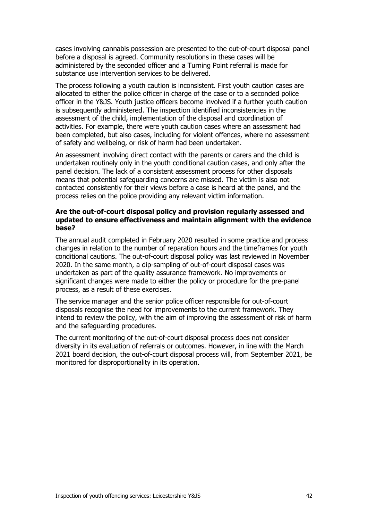cases involving cannabis possession are presented to the out-of-court disposal panel before a disposal is agreed. Community resolutions in these cases will be administered by the seconded officer and a Turning Point referral is made for substance use intervention services to be delivered.

The process following a youth caution is inconsistent. First youth caution cases are allocated to either the police officer in charge of the case or to a seconded police officer in the Y&JS. Youth justice officers become involved if a further youth caution is subsequently administered. The inspection identified inconsistencies in the assessment of the child, implementation of the disposal and coordination of activities. For example, there were youth caution cases where an assessment had been completed, but also cases, including for violent offences, where no assessment of safety and wellbeing, or risk of harm had been undertaken.

An assessment involving direct contact with the parents or carers and the child is undertaken routinely only in the youth conditional caution cases, and only after the panel decision. The lack of a consistent assessment process for other disposals means that potential safeguarding concerns are missed. The victim is also not contacted consistently for their views before a case is heard at the panel, and the process relies on the police providing any relevant victim information.

### **Are the out-of-court disposal policy and provision regularly assessed and updated to ensure effectiveness and maintain alignment with the evidence base?**

The annual audit completed in February 2020 resulted in some practice and process changes in relation to the number of reparation hours and the timeframes for youth conditional cautions. The out-of-court disposal policy was last reviewed in November 2020. In the same month, a dip-sampling of out-of-court disposal cases was undertaken as part of the quality assurance framework. No improvements or significant changes were made to either the policy or procedure for the pre-panel process, as a result of these exercises.

The service manager and the senior police officer responsible for out-of-court disposals recognise the need for improvements to the current framework. They intend to review the policy, with the aim of improving the assessment of risk of harm and the safeguarding procedures.

The current monitoring of the out-of-court disposal process does not consider diversity in its evaluation of referrals or outcomes. However, in line with the March 2021 board decision, the out-of-court disposal process will, from September 2021, be monitored for disproportionality in its operation.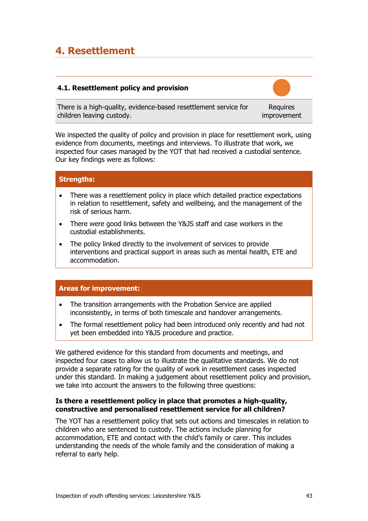## <span id="page-42-0"></span>**4. Resettlement**

## <span id="page-42-1"></span>**4.1. Resettlement policy and provision**

There is a high-quality, evidence-based resettlement service for children leaving custody.

**Requires** improvement

We inspected the quality of policy and provision in place for resettlement work, using evidence from documents, meetings and interviews. To illustrate that work, we inspected four cases managed by the YOT that had received a custodial sentence. Our key findings were as follows:

## **Strengths:**

- There was a resettlement policy in place which detailed practice expectations in relation to resettlement, safety and wellbeing, and the management of the risk of serious harm.
- There were good links between the Y&JS staff and case workers in the custodial establishments.
- The policy linked directly to the involvement of services to provide interventions and practical support in areas such as mental health, ETE and accommodation.

## **Areas for improvement:**

- The transition arrangements with the Probation Service are applied inconsistently, in terms of both timescale and handover arrangements.
- The formal resettlement policy had been introduced only recently and had not yet been embedded into Y&JS procedure and practice.

We gathered evidence for this standard from documents and meetings, and inspected four cases to allow us to illustrate the qualitative standards. We do not provide a separate rating for the quality of work in resettlement cases inspected under this standard. In making a judgement about resettlement policy and provision, we take into account the answers to the following three questions:

## **Is there a resettlement policy in place that promotes a high-quality, constructive and personalised resettlement service for all children?**

The YOT has a resettlement policy that sets out actions and timescales in relation to children who are sentenced to custody. The actions include planning for accommodation, ETE and contact with the child's family or carer. This includes understanding the needs of the whole family and the consideration of making a referral to early help.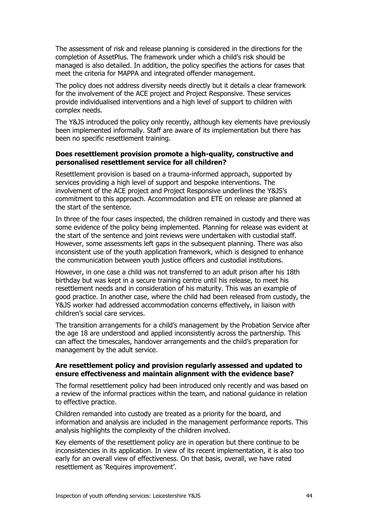The assessment of risk and release planning is considered in the directions for the completion of AssetPlus. The framework under which a child's risk should be managed is also detailed. In addition, the policy specifies the actions for cases that meet the criteria for MAPPA and integrated offender management.

The policy does not address diversity needs directly but it details a clear framework for the involvement of the ACE project and Project Responsive. These services provide individualised interventions and a high level of support to children with complex needs.

The Y&JS introduced the policy only recently, although key elements have previously been implemented informally. Staff are aware of its implementation but there has been no specific resettlement training.

## **Does resettlement provision promote a high-quality, constructive and personalised resettlement service for all children?**

Resettlement provision is based on a trauma-informed approach, supported by services providing a high level of support and bespoke interventions. The involvement of the ACE project and Project Responsive underlines the Y&JS's commitment to this approach. Accommodation and ETE on release are planned at the start of the sentence.

In three of the four cases inspected, the children remained in custody and there was some evidence of the policy being implemented. Planning for release was evident at the start of the sentence and joint reviews were undertaken with custodial staff. However, some assessments left gaps in the subsequent planning. There was also inconsistent use of the youth application framework, which is designed to enhance the communication between youth justice officers and custodial institutions.

However, in one case a child was not transferred to an adult prison after his 18th birthday but was kept in a secure training centre until his release, to meet his resettlement needs and in consideration of his maturity. This was an example of good practice. In another case, where the child had been released from custody, the Y&JS worker had addressed accommodation concerns effectively, in liaison with children's social care services.

The transition arrangements for a child's management by the Probation Service after the age 18 are understood and applied inconsistently across the partnership. This can affect the timescales, handover arrangements and the child's preparation for management by the adult service.

## **Are resettlement policy and provision regularly assessed and updated to ensure effectiveness and maintain alignment with the evidence base?**

The formal resettlement policy had been introduced only recently and was based on a review of the informal practices within the team, and national guidance in relation to effective practice.

Children remanded into custody are treated as a priority for the board, and information and analysis are included in the management performance reports. This analysis highlights the complexity of the children involved.

Key elements of the resettlement policy are in operation but there continue to be inconsistencies in its application. In view of its recent implementation, it is also too early for an overall view of effectiveness. On that basis, overall, we have rated resettlement as 'Requires improvement'.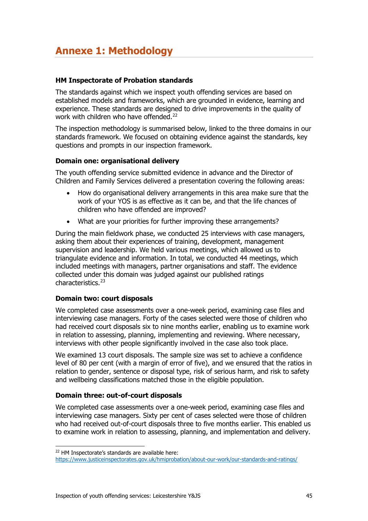## <span id="page-44-0"></span>**Annexe 1: Methodology**

## **HM Inspectorate of Probation standards**

The standards against which we inspect youth offending services are based on established models and frameworks, which are grounded in evidence, learning and experience. These standards are designed to drive improvements in the quality of work with children who have offended.<sup>[22](#page-44-1)</sup>

The inspection methodology is summarised below, linked to the three domains in our standards framework. We focused on obtaining evidence against the standards, key questions and prompts in our inspection framework.

## **Domain one: organisational delivery**

The youth offending service submitted evidence in advance and the Director of Children and Family Services delivered a presentation covering the following areas:

- How do organisational delivery arrangements in this area make sure that the work of your YOS is as effective as it can be, and that the life chances of children who have offended are improved?
- What are your priorities for further improving these arrangements?

During the main fieldwork phase, we conducted 25 interviews with case managers, asking them about their experiences of training, development, management supervision and leadership. We held various meetings, which allowed us to triangulate evidence and information. In total, we conducted 44 meetings, which included meetings with managers, partner organisations and staff. The evidence collected under this domain was judged against our published ratings characteristics.[23](#page-44-2)

## **Domain two: court disposals**

We completed case assessments over a one-week period, examining case files and interviewing case managers. Forty of the cases selected were those of children who had received court disposals six to nine months earlier, enabling us to examine work in relation to assessing, planning, implementing and reviewing. Where necessary, interviews with other people significantly involved in the case also took place.

We examined 13 court disposals. The sample size was set to achieve a confidence level of 80 per cent (with a margin of error of five), and we ensured that the ratios in relation to gender, sentence or disposal type, risk of serious harm, and risk to safety and wellbeing classifications matched those in the eligible population.

## **Domain three: out-of-court disposals**

We completed case assessments over a one-week period, examining case files and interviewing case managers. Sixty per cent of cases selected were those of children who had received out-of-court disposals three to five months earlier. This enabled us to examine work in relation to assessing, planning, and implementation and delivery.

<span id="page-44-1"></span><sup>22</sup> HM Inspectorate's standards are available here:

<span id="page-44-2"></span><https://www.justiceinspectorates.gov.uk/hmiprobation/about-our-work/our-standards-and-ratings/>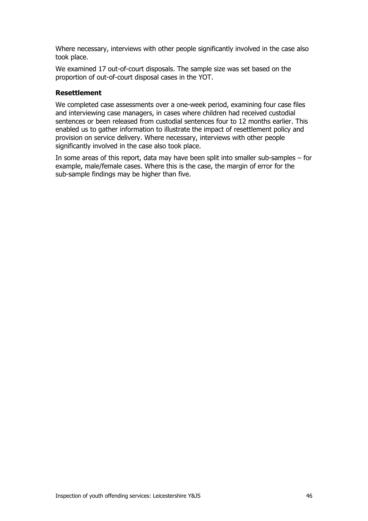Where necessary, interviews with other people significantly involved in the case also took place.

We examined 17 out-of-court disposals. The sample size was set based on the proportion of out-of-court disposal cases in the YOT.

### **Resettlement**

We completed case assessments over a one-week period, examining four case files and interviewing case managers, in cases where children had received custodial sentences or been released from custodial sentences four to 12 months earlier. This enabled us to gather information to illustrate the impact of resettlement policy and provision on service delivery. Where necessary, interviews with other people significantly involved in the case also took place.

In some areas of this report, data may have been split into smaller sub-samples – for example, male/female cases. Where this is the case, the margin of error for the sub-sample findings may be higher than five.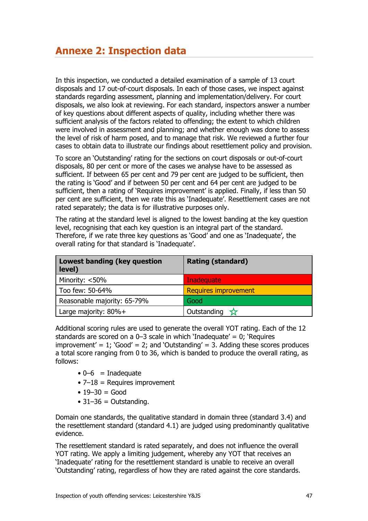<span id="page-46-0"></span>In this inspection, we conducted a detailed examination of a sample of 13 court disposals and 17 out-of-court disposals. In each of those cases, we inspect against standards regarding assessment, planning and implementation/delivery. For court disposals, we also look at reviewing. For each standard, inspectors answer a number of key questions about different aspects of quality, including whether there was sufficient analysis of the factors related to offending; the extent to which children were involved in assessment and planning; and whether enough was done to assess the level of risk of harm posed, and to manage that risk. We reviewed a further four cases to obtain data to illustrate our findings about resettlement policy and provision.

To score an 'Outstanding' rating for the sections on court disposals or out-of-court disposals, 80 per cent or more of the cases we analyse have to be assessed as sufficient. If between 65 per cent and 79 per cent are judged to be sufficient, then the rating is 'Good' and if between 50 per cent and 64 per cent are judged to be sufficient, then a rating of 'Requires improvement' is applied. Finally, if less than 50 per cent are sufficient, then we rate this as 'Inadequate'. Resettlement cases are not rated separately; the data is for illustrative purposes only.

The rating at the standard level is aligned to the lowest banding at the key question level, recognising that each key question is an integral part of the standard. Therefore, if we rate three key questions as 'Good' and one as 'Inadequate', the overall rating for that standard is 'Inadequate'.

| Lowest banding (key question<br>level) | <b>Rating (standard)</b>    |
|----------------------------------------|-----------------------------|
| Minority: <50%                         | Inadequate                  |
| Too few: 50-64%                        | <b>Requires improvement</b> |
| Reasonable majority: 65-79%            | Good                        |
| Large majority: $80\% +$               | Outstanding $\sqrt{x}$      |

Additional scoring rules are used to generate the overall YOT rating. Each of the 12 standards are scored on a 0–3 scale in which 'Inadequate' = 0; 'Requires improvement' = 1;  $Good' = 2$ ; and  $Outstanding' = 3$ . Adding these scores produces a total score ranging from 0 to 36, which is banded to produce the overall rating, as follows:

- $\bullet$  0–6 = Inadequate
- $\bullet$  7–18 = Requires improvement
- $19 30 = Good$
- $\bullet$  31–36 = Outstanding.

Domain one standards, the qualitative standard in domain three (standard 3.4) and the resettlement standard (standard 4.1) are judged using predominantly qualitative evidence.

The resettlement standard is rated separately, and does not influence the overall YOT rating. We apply a limiting judgement, whereby any YOT that receives an 'Inadequate' rating for the resettlement standard is unable to receive an overall 'Outstanding' rating, regardless of how they are rated against the core standards.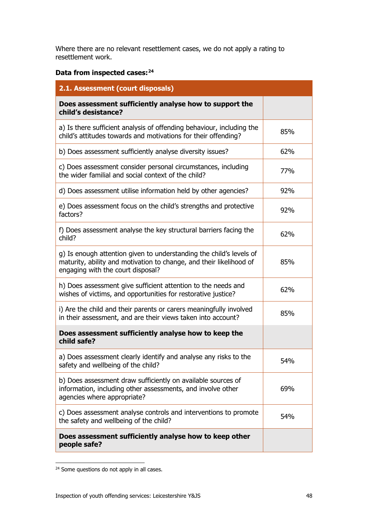Where there are no relevant resettlement cases, we do not apply a rating to resettlement work.

## **Data from inspected cases:[24](#page-47-0)**

| 2.1. Assessment (court disposals)                                                                                                                                               |     |
|---------------------------------------------------------------------------------------------------------------------------------------------------------------------------------|-----|
| Does assessment sufficiently analyse how to support the<br>child's desistance?                                                                                                  |     |
| a) Is there sufficient analysis of offending behaviour, including the<br>child's attitudes towards and motivations for their offending?                                         | 85% |
| b) Does assessment sufficiently analyse diversity issues?                                                                                                                       | 62% |
| c) Does assessment consider personal circumstances, including<br>the wider familial and social context of the child?                                                            | 77% |
| d) Does assessment utilise information held by other agencies?                                                                                                                  | 92% |
| e) Does assessment focus on the child's strengths and protective<br>factors?                                                                                                    | 92% |
| f) Does assessment analyse the key structural barriers facing the<br>child?                                                                                                     | 62% |
| g) Is enough attention given to understanding the child's levels of<br>maturity, ability and motivation to change, and their likelihood of<br>engaging with the court disposal? | 85% |
| h) Does assessment give sufficient attention to the needs and<br>wishes of victims, and opportunities for restorative justice?                                                  | 62% |
| i) Are the child and their parents or carers meaningfully involved<br>in their assessment, and are their views taken into account?                                              | 85% |
| Does assessment sufficiently analyse how to keep the<br>child safe?                                                                                                             |     |
| a) Does assessment clearly identify and analyse any risks to the<br>safety and wellbeing of the child?                                                                          | 54% |
| b) Does assessment draw sufficiently on available sources of<br>information, including other assessments, and involve other<br>agencies where appropriate?                      | 69% |
| c) Does assessment analyse controls and interventions to promote<br>the safety and wellbeing of the child?                                                                      | 54% |
| Does assessment sufficiently analyse how to keep other<br>people safe?                                                                                                          |     |

<span id="page-47-0"></span><sup>&</sup>lt;sup>24</sup> Some questions do not apply in all cases.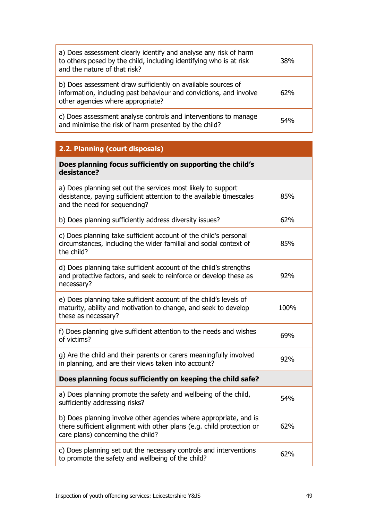| a) Does assessment clearly identify and analyse any risk of harm<br>to others posed by the child, including identifying who is at risk<br>and the nature of that risk?  | <b>38%</b> |
|-------------------------------------------------------------------------------------------------------------------------------------------------------------------------|------------|
| b) Does assessment draw sufficiently on available sources of<br>information, including past behaviour and convictions, and involve<br>other agencies where appropriate? | 62%        |
| c) Does assessment analyse controls and interventions to manage<br>and minimise the risk of harm presented by the child?                                                | 54%        |

| 2.2. Planning (court disposals)                                                                                                                                                 |      |
|---------------------------------------------------------------------------------------------------------------------------------------------------------------------------------|------|
| Does planning focus sufficiently on supporting the child's<br>desistance?                                                                                                       |      |
| a) Does planning set out the services most likely to support<br>desistance, paying sufficient attention to the available timescales<br>and the need for sequencing?             | 85%  |
| b) Does planning sufficiently address diversity issues?                                                                                                                         | 62%  |
| c) Does planning take sufficient account of the child's personal<br>circumstances, including the wider familial and social context of<br>the child?                             | 85%  |
| d) Does planning take sufficient account of the child's strengths<br>and protective factors, and seek to reinforce or develop these as<br>necessary?                            | 92%  |
| e) Does planning take sufficient account of the child's levels of<br>maturity, ability and motivation to change, and seek to develop<br>these as necessary?                     | 100% |
| f) Does planning give sufficient attention to the needs and wishes<br>of victims?                                                                                               | 69%  |
| g) Are the child and their parents or carers meaningfully involved<br>in planning, and are their views taken into account?                                                      | 92%  |
| Does planning focus sufficiently on keeping the child safe?                                                                                                                     |      |
| a) Does planning promote the safety and wellbeing of the child,<br>sufficiently addressing risks?                                                                               | 54%  |
| b) Does planning involve other agencies where appropriate, and is<br>there sufficient alignment with other plans (e.g. child protection or<br>care plans) concerning the child? | 62%  |
| c) Does planning set out the necessary controls and interventions<br>to promote the safety and wellbeing of the child?                                                          | 62%  |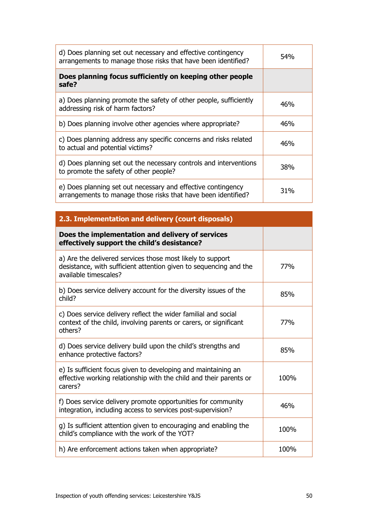| Does planning focus sufficiently on keeping other people<br>safe?<br>a) Does planning promote the safety of other people, sufficiently<br>46%<br>addressing risk of harm factors?<br>46%<br>b) Does planning involve other agencies where appropriate?<br>c) Does planning address any specific concerns and risks related<br>46%<br>to actual and potential victims?<br>d) Does planning set out the necessary controls and interventions<br>38%<br>to promote the safety of other people?<br>e) Does planning set out necessary and effective contingency<br>31%<br>arrangements to manage those risks that have been identified?<br>2.3. Implementation and delivery (court disposals)<br>Does the implementation and delivery of services<br>effectively support the child's desistance?<br>a) Are the delivered services those most likely to support<br>77%<br>desistance, with sufficient attention given to sequencing and the<br>available timescales?<br>b) Does service delivery account for the diversity issues of the<br>85%<br>child?<br>c) Does service delivery reflect the wider familial and social<br>context of the child, involving parents or carers, or significant<br>77%<br>others?<br>d) Does service delivery build upon the child's strengths and<br>85%<br>enhance protective factors?<br>e) Is sufficient focus given to developing and maintaining an<br>effective working relationship with the child and their parents or<br>100%<br>carers?<br>f) Does service delivery promote opportunities for community<br>46%<br>integration, including access to services post-supervision?<br>g) Is sufficient attention given to encouraging and enabling the<br>100%<br>child's compliance with the work of the YOT?<br>h) Are enforcement actions taken when appropriate?<br>100% | d) Does planning set out necessary and effective contingency<br>arrangements to manage those risks that have been identified? | 54% |
|----------------------------------------------------------------------------------------------------------------------------------------------------------------------------------------------------------------------------------------------------------------------------------------------------------------------------------------------------------------------------------------------------------------------------------------------------------------------------------------------------------------------------------------------------------------------------------------------------------------------------------------------------------------------------------------------------------------------------------------------------------------------------------------------------------------------------------------------------------------------------------------------------------------------------------------------------------------------------------------------------------------------------------------------------------------------------------------------------------------------------------------------------------------------------------------------------------------------------------------------------------------------------------------------------------------------------------------------------------------------------------------------------------------------------------------------------------------------------------------------------------------------------------------------------------------------------------------------------------------------------------------------------------------------------------------------------------------------------------------------------------------------------------------------------------------|-------------------------------------------------------------------------------------------------------------------------------|-----|
|                                                                                                                                                                                                                                                                                                                                                                                                                                                                                                                                                                                                                                                                                                                                                                                                                                                                                                                                                                                                                                                                                                                                                                                                                                                                                                                                                                                                                                                                                                                                                                                                                                                                                                                                                                                                                |                                                                                                                               |     |
|                                                                                                                                                                                                                                                                                                                                                                                                                                                                                                                                                                                                                                                                                                                                                                                                                                                                                                                                                                                                                                                                                                                                                                                                                                                                                                                                                                                                                                                                                                                                                                                                                                                                                                                                                                                                                |                                                                                                                               |     |
|                                                                                                                                                                                                                                                                                                                                                                                                                                                                                                                                                                                                                                                                                                                                                                                                                                                                                                                                                                                                                                                                                                                                                                                                                                                                                                                                                                                                                                                                                                                                                                                                                                                                                                                                                                                                                |                                                                                                                               |     |
|                                                                                                                                                                                                                                                                                                                                                                                                                                                                                                                                                                                                                                                                                                                                                                                                                                                                                                                                                                                                                                                                                                                                                                                                                                                                                                                                                                                                                                                                                                                                                                                                                                                                                                                                                                                                                |                                                                                                                               |     |
|                                                                                                                                                                                                                                                                                                                                                                                                                                                                                                                                                                                                                                                                                                                                                                                                                                                                                                                                                                                                                                                                                                                                                                                                                                                                                                                                                                                                                                                                                                                                                                                                                                                                                                                                                                                                                |                                                                                                                               |     |
|                                                                                                                                                                                                                                                                                                                                                                                                                                                                                                                                                                                                                                                                                                                                                                                                                                                                                                                                                                                                                                                                                                                                                                                                                                                                                                                                                                                                                                                                                                                                                                                                                                                                                                                                                                                                                |                                                                                                                               |     |
|                                                                                                                                                                                                                                                                                                                                                                                                                                                                                                                                                                                                                                                                                                                                                                                                                                                                                                                                                                                                                                                                                                                                                                                                                                                                                                                                                                                                                                                                                                                                                                                                                                                                                                                                                                                                                |                                                                                                                               |     |
|                                                                                                                                                                                                                                                                                                                                                                                                                                                                                                                                                                                                                                                                                                                                                                                                                                                                                                                                                                                                                                                                                                                                                                                                                                                                                                                                                                                                                                                                                                                                                                                                                                                                                                                                                                                                                |                                                                                                                               |     |
|                                                                                                                                                                                                                                                                                                                                                                                                                                                                                                                                                                                                                                                                                                                                                                                                                                                                                                                                                                                                                                                                                                                                                                                                                                                                                                                                                                                                                                                                                                                                                                                                                                                                                                                                                                                                                |                                                                                                                               |     |
|                                                                                                                                                                                                                                                                                                                                                                                                                                                                                                                                                                                                                                                                                                                                                                                                                                                                                                                                                                                                                                                                                                                                                                                                                                                                                                                                                                                                                                                                                                                                                                                                                                                                                                                                                                                                                |                                                                                                                               |     |
|                                                                                                                                                                                                                                                                                                                                                                                                                                                                                                                                                                                                                                                                                                                                                                                                                                                                                                                                                                                                                                                                                                                                                                                                                                                                                                                                                                                                                                                                                                                                                                                                                                                                                                                                                                                                                |                                                                                                                               |     |
|                                                                                                                                                                                                                                                                                                                                                                                                                                                                                                                                                                                                                                                                                                                                                                                                                                                                                                                                                                                                                                                                                                                                                                                                                                                                                                                                                                                                                                                                                                                                                                                                                                                                                                                                                                                                                |                                                                                                                               |     |
|                                                                                                                                                                                                                                                                                                                                                                                                                                                                                                                                                                                                                                                                                                                                                                                                                                                                                                                                                                                                                                                                                                                                                                                                                                                                                                                                                                                                                                                                                                                                                                                                                                                                                                                                                                                                                |                                                                                                                               |     |
|                                                                                                                                                                                                                                                                                                                                                                                                                                                                                                                                                                                                                                                                                                                                                                                                                                                                                                                                                                                                                                                                                                                                                                                                                                                                                                                                                                                                                                                                                                                                                                                                                                                                                                                                                                                                                |                                                                                                                               |     |
|                                                                                                                                                                                                                                                                                                                                                                                                                                                                                                                                                                                                                                                                                                                                                                                                                                                                                                                                                                                                                                                                                                                                                                                                                                                                                                                                                                                                                                                                                                                                                                                                                                                                                                                                                                                                                |                                                                                                                               |     |
|                                                                                                                                                                                                                                                                                                                                                                                                                                                                                                                                                                                                                                                                                                                                                                                                                                                                                                                                                                                                                                                                                                                                                                                                                                                                                                                                                                                                                                                                                                                                                                                                                                                                                                                                                                                                                |                                                                                                                               |     |
|                                                                                                                                                                                                                                                                                                                                                                                                                                                                                                                                                                                                                                                                                                                                                                                                                                                                                                                                                                                                                                                                                                                                                                                                                                                                                                                                                                                                                                                                                                                                                                                                                                                                                                                                                                                                                |                                                                                                                               |     |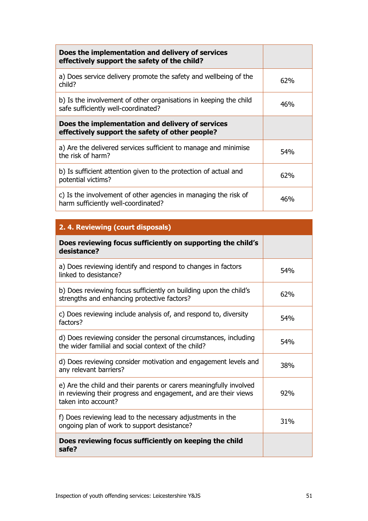| Does the implementation and delivery of services<br>effectively support the safety of the child?         |     |
|----------------------------------------------------------------------------------------------------------|-----|
| a) Does service delivery promote the safety and wellbeing of the<br>child?                               | 62% |
| b) Is the involvement of other organisations in keeping the child<br>safe sufficiently well-coordinated? | 46% |
| Does the implementation and delivery of services<br>effectively support the safety of other people?      |     |
| a) Are the delivered services sufficient to manage and minimise<br>the risk of harm?                     | 54% |
| b) Is sufficient attention given to the protection of actual and<br>potential victims?                   | 62% |
| c) Is the involvement of other agencies in managing the risk of<br>harm sufficiently well-coordinated?   | 46% |

| 2. 4. Reviewing (court disposals)                                                                                                                            |     |
|--------------------------------------------------------------------------------------------------------------------------------------------------------------|-----|
| Does reviewing focus sufficiently on supporting the child's<br>desistance?                                                                                   |     |
| a) Does reviewing identify and respond to changes in factors<br>linked to desistance?                                                                        | 54% |
| b) Does reviewing focus sufficiently on building upon the child's<br>strengths and enhancing protective factors?                                             | 62% |
| c) Does reviewing include analysis of, and respond to, diversity<br>factors?                                                                                 | 54% |
| d) Does reviewing consider the personal circumstances, including<br>the wider familial and social context of the child?                                      | 54% |
| d) Does reviewing consider motivation and engagement levels and<br>any relevant barriers?                                                                    | 38% |
| e) Are the child and their parents or carers meaningfully involved<br>in reviewing their progress and engagement, and are their views<br>taken into account? | 92% |
| f) Does reviewing lead to the necessary adjustments in the<br>ongoing plan of work to support desistance?                                                    | 31% |
| Does reviewing focus sufficiently on keeping the child<br>safe?                                                                                              |     |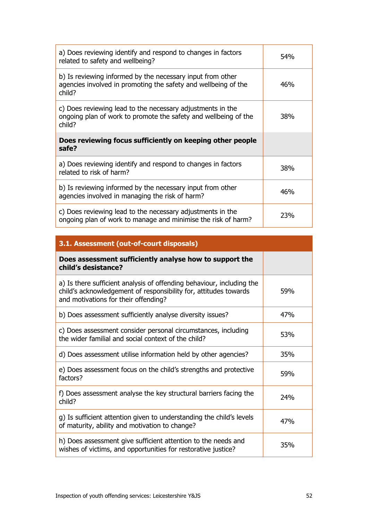| a) Does reviewing identify and respond to changes in factors<br>related to safety and wellbeing?                                        | 54% |
|-----------------------------------------------------------------------------------------------------------------------------------------|-----|
| b) Is reviewing informed by the necessary input from other<br>agencies involved in promoting the safety and wellbeing of the<br>child?  | 46% |
| c) Does reviewing lead to the necessary adjustments in the<br>ongoing plan of work to promote the safety and wellbeing of the<br>child? | 38% |
|                                                                                                                                         |     |
| Does reviewing focus sufficiently on keeping other people<br>safe?                                                                      |     |
| a) Does reviewing identify and respond to changes in factors<br>related to risk of harm?                                                | 38% |
| b) Is reviewing informed by the necessary input from other<br>agencies involved in managing the risk of harm?                           | 46% |

| 3.1. Assessment (out-of-court disposals)                                                                                                                                          |     |
|-----------------------------------------------------------------------------------------------------------------------------------------------------------------------------------|-----|
| Does assessment sufficiently analyse how to support the<br>child's desistance?                                                                                                    |     |
| a) Is there sufficient analysis of offending behaviour, including the<br>child's acknowledgement of responsibility for, attitudes towards<br>and motivations for their offending? | 59% |
| b) Does assessment sufficiently analyse diversity issues?                                                                                                                         | 47% |
| c) Does assessment consider personal circumstances, including<br>the wider familial and social context of the child?                                                              | 53% |
| d) Does assessment utilise information held by other agencies?                                                                                                                    | 35% |
| e) Does assessment focus on the child's strengths and protective<br>factors?                                                                                                      | 59% |
| f) Does assessment analyse the key structural barriers facing the<br>child?                                                                                                       | 24% |
| g) Is sufficient attention given to understanding the child's levels<br>of maturity, ability and motivation to change?                                                            | 47% |
| h) Does assessment give sufficient attention to the needs and<br>wishes of victims, and opportunities for restorative justice?                                                    | 35% |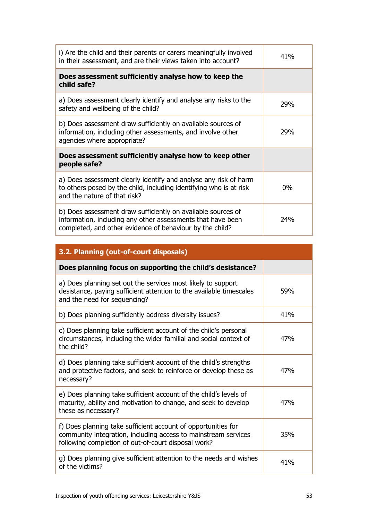| i) Are the child and their parents or carers meaningfully involved<br>in their assessment, and are their views taken into account?                                     | 41%   |
|------------------------------------------------------------------------------------------------------------------------------------------------------------------------|-------|
| Does assessment sufficiently analyse how to keep the<br>child safe?                                                                                                    |       |
| a) Does assessment clearly identify and analyse any risks to the<br>safety and wellbeing of the child?                                                                 | 29%   |
| b) Does assessment draw sufficiently on available sources of<br>information, including other assessments, and involve other                                            | 29%   |
| agencies where appropriate?                                                                                                                                            |       |
| Does assessment sufficiently analyse how to keep other<br>people safe?                                                                                                 |       |
| a) Does assessment clearly identify and analyse any risk of harm<br>to others posed by the child, including identifying who is at risk<br>and the nature of that risk? | $0\%$ |

| 3.2. Planning (out-of-court disposals)                                                                                                                                                 |     |
|----------------------------------------------------------------------------------------------------------------------------------------------------------------------------------------|-----|
| Does planning focus on supporting the child's desistance?                                                                                                                              |     |
| a) Does planning set out the services most likely to support<br>desistance, paying sufficient attention to the available timescales<br>and the need for sequencing?                    | 59% |
| b) Does planning sufficiently address diversity issues?                                                                                                                                | 41% |
| c) Does planning take sufficient account of the child's personal<br>circumstances, including the wider familial and social context of<br>the child?                                    | 47% |
| d) Does planning take sufficient account of the child's strengths<br>and protective factors, and seek to reinforce or develop these as<br>necessary?                                   | 47% |
| e) Does planning take sufficient account of the child's levels of<br>maturity, ability and motivation to change, and seek to develop<br>these as necessary?                            | 47% |
| f) Does planning take sufficient account of opportunities for<br>community integration, including access to mainstream services<br>following completion of out-of-court disposal work? | 35% |
| g) Does planning give sufficient attention to the needs and wishes<br>of the victims?                                                                                                  | 41% |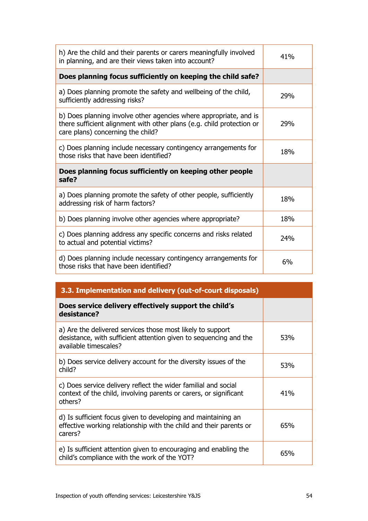| h) Are the child and their parents or carers meaningfully involved<br>in planning, and are their views taken into account?                                                      | 41% |
|---------------------------------------------------------------------------------------------------------------------------------------------------------------------------------|-----|
| Does planning focus sufficiently on keeping the child safe?                                                                                                                     |     |
| a) Does planning promote the safety and wellbeing of the child,<br>sufficiently addressing risks?                                                                               | 29% |
| b) Does planning involve other agencies where appropriate, and is<br>there sufficient alignment with other plans (e.g. child protection or<br>care plans) concerning the child? | 29% |
| c) Does planning include necessary contingency arrangements for<br>those risks that have been identified?                                                                       | 18% |
| Does planning focus sufficiently on keeping other people<br>safe?                                                                                                               |     |
|                                                                                                                                                                                 |     |
| a) Does planning promote the safety of other people, sufficiently<br>addressing risk of harm factors?                                                                           | 18% |
| b) Does planning involve other agencies where appropriate?                                                                                                                      | 18% |
| c) Does planning address any specific concerns and risks related<br>to actual and potential victims?                                                                            | 24% |

| 3.3. Implementation and delivery (out-of-court disposals)                                                                                                |     |
|----------------------------------------------------------------------------------------------------------------------------------------------------------|-----|
| Does service delivery effectively support the child's<br>desistance?                                                                                     |     |
| a) Are the delivered services those most likely to support<br>desistance, with sufficient attention given to sequencing and the<br>available timescales? | 53% |
| b) Does service delivery account for the diversity issues of the<br>child?                                                                               | 53% |
| c) Does service delivery reflect the wider familial and social<br>context of the child, involving parents or carers, or significant<br>others?           | 41% |
| d) Is sufficient focus given to developing and maintaining an<br>effective working relationship with the child and their parents or<br>carers?           | 65% |
| e) Is sufficient attention given to encouraging and enabling the<br>child's compliance with the work of the YOT?                                         | 65% |